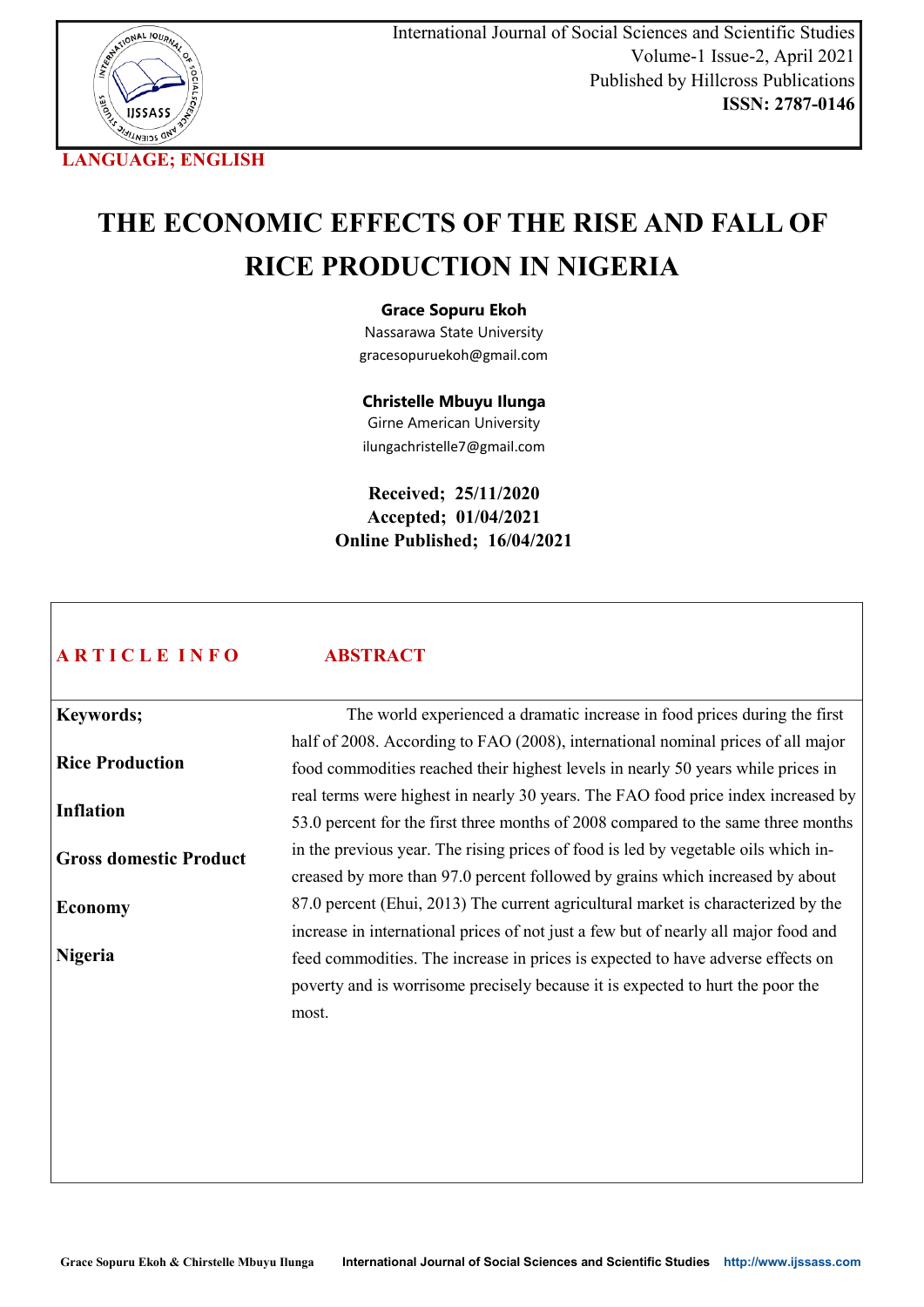

# **THE ECONOMIC EFFECTS OF THE RISE AND FALL OF RICE PRODUCTION IN NIGERIA**

# **Grace Sopuru Ekoh**

Nassarawa State University gracesopuruekoh@gmail.com

**Christelle Mbuyu Ilunga**

Girne American University ilungachristelle7@gmail.com

**Received; 25/11/2020 Accepted; 01/04/2021 Online Published; 16/04/2021**

# **A R T I C L E I N F O**

# **ABSTRACT**

**Keywords; Rice Production Inflation Gross domestic Product Economy Nigeria** The world experienced a dramatic increase in food prices during the first half of 2008. According to FAO (2008), international nominal prices of all major food commodities reached their highest levels in nearly 50 years while prices in real terms were highest in nearly 30 years. The FAO food price index increased by 53.0 percent for the first three months of 2008 compared to the same three months in the previous year. The rising prices of food is led by vegetable oils which increased by more than 97.0 percent followed by grains which increased by about 87.0 percent (Ehui, 2013) The current agricultural market is characterized by the increase in international prices of not just a few but of nearly all major food and feed commodities. The increase in prices is expected to have adverse effects on poverty and is worrisome precisely because it is expected to hurt the poor the most.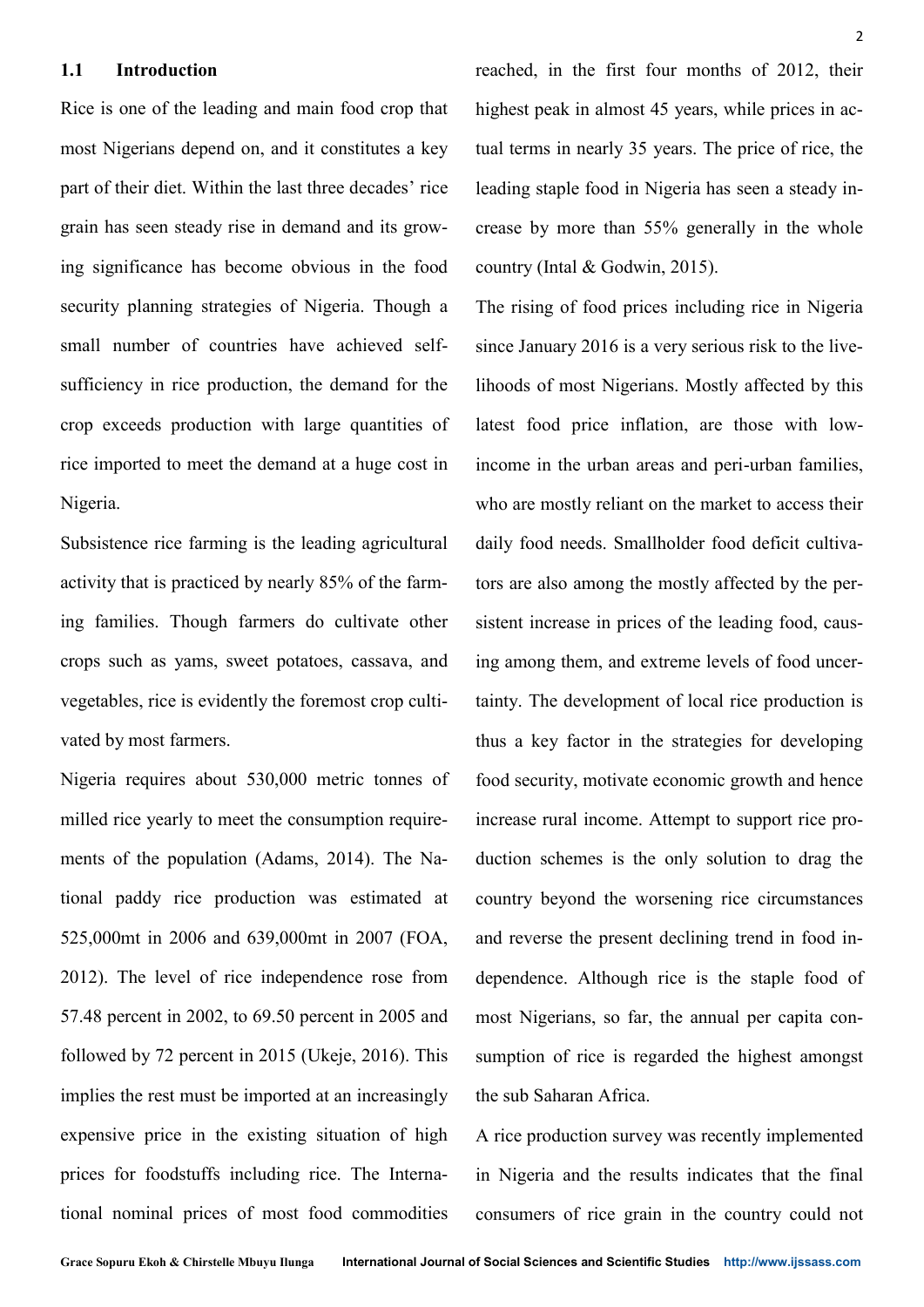#### **1.1 Introduction**

Rice is one of the leading and main food crop that most Nigerians depend on, and it constitutes a key part of their diet. Within the last three decades' rice grain has seen steady rise in demand and its growing significance has become obvious in the food security planning strategies of Nigeria. Though a small number of countries have achieved selfsufficiency in rice production, the demand for the crop exceeds production with large quantities of rice imported to meet the demand at a huge cost in Nigeria.

Subsistence rice farming is the leading agricultural activity that is practiced by nearly 85% of the farming families. Though farmers do cultivate other crops such as yams, sweet potatoes, cassava, and vegetables, rice is evidently the foremost crop cultivated by most farmers.

Nigeria requires about 530,000 metric tonnes of milled rice yearly to meet the consumption requirements of the population (Adams, 2014). The National paddy rice production was estimated at 525,000mt in 2006 and 639,000mt in 2007 (FOA, 2012). The level of rice independence rose from 57.48 percent in 2002, to 69.50 percent in 2005 and followed by 72 percent in 2015 (Ukeje, 2016). This implies the rest must be imported at an increasingly expensive price in the existing situation of high prices for foodstuffs including rice. The International nominal prices of most food commodities

reached, in the first four months of 2012, their highest peak in almost 45 years, while prices in actual terms in nearly 35 years. The price of rice, the leading staple food in Nigeria has seen a steady increase by more than 55% generally in the whole country (Intal & Godwin, 2015).

The rising of food prices including rice in Nigeria since January 2016 is a very serious risk to the livelihoods of most Nigerians. Mostly affected by this latest food price inflation, are those with lowincome in the urban areas and peri-urban families, who are mostly reliant on the market to access their daily food needs. Smallholder food deficit cultivators are also among the mostly affected by the persistent increase in prices of the leading food, causing among them, and extreme levels of food uncertainty. The development of local rice production is thus a key factor in the strategies for developing food security, motivate economic growth and hence increase rural income. Attempt to support rice production schemes is the only solution to drag the country beyond the worsening rice circumstances and reverse the present declining trend in food independence. Although rice is the staple food of most Nigerians, so far, the annual per capita consumption of rice is regarded the highest amongst the sub Saharan Africa.

A rice production survey was recently implemented in Nigeria and the results indicates that the final consumers of rice grain in the country could not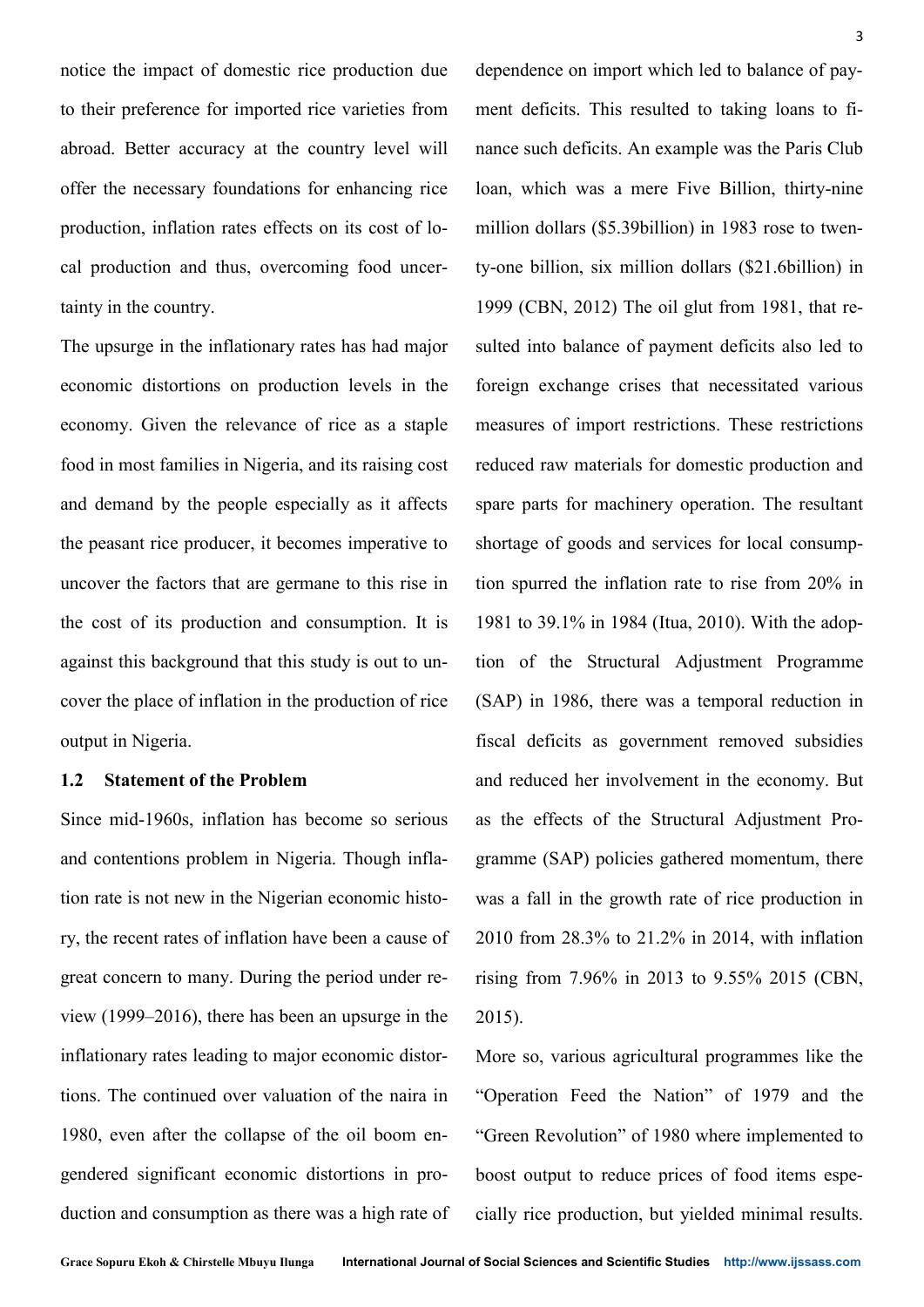notice the impact of domestic rice production due to their preference for imported rice varieties from abroad. Better accuracy at the country level will offer the necessary foundations for enhancing rice production, inflation rates effects on its cost of local production and thus, overcoming food uncertainty in the country.

The upsurge in the inflationary rates has had major economic distortions on production levels in the economy. Given the relevance of rice as a staple food in most families in Nigeria, and its raising cost and demand by the people especially as it affects the peasant rice producer, it becomes imperative to uncover the factors that are germane to this rise in the cost of its production and consumption. It is against this background that this study is out to uncover the place of inflation in the production of rice output in Nigeria.

# **1.2 Statement of the Problem**

Since mid-1960s, inflation has become so serious and contentions problem in Nigeria. Though inflation rate is not new in the Nigerian economic history, the recent rates of inflation have been a cause of great concern to many. During the period under review (1999–2016), there has been an upsurge in the inflationary rates leading to major economic distortions. The continued over valuation of the naira in 1980, even after the collapse of the oil boom engendered significant economic distortions in production and consumption as there was a high rate of dependence on import which led to balance of payment deficits. This resulted to taking loans to finance such deficits. An example was the Paris Club loan, which was a mere Five Billion, thirty-nine million dollars (\$5.39billion) in 1983 rose to twenty-one billion, six million dollars (\$21.6billion) in 1999 (CBN, 2012) The oil glut from 1981, that resulted into balance of payment deficits also led to foreign exchange crises that necessitated various measures of import restrictions. These restrictions reduced raw materials for domestic production and spare parts for machinery operation. The resultant shortage of goods and services for local consumption spurred the inflation rate to rise from 20% in 1981 to 39.1% in 1984 (Itua, 2010). With the adoption of the Structural Adjustment Programme (SAP) in 1986, there was a temporal reduction in fiscal deficits as government removed subsidies and reduced her involvement in the economy. But as the effects of the Structural Adjustment Programme (SAP) policies gathered momentum, there was a fall in the growth rate of rice production in 2010 from 28.3% to 21.2% in 2014, with inflation rising from 7.96% in 2013 to 9.55% 2015 (CBN, 2015).

More so, various agricultural programmes like the "Operation Feed the Nation" of 1979 and the "Green Revolution" of 1980 where implemented to boost output to reduce prices of food items especially rice production, but yielded minimal results.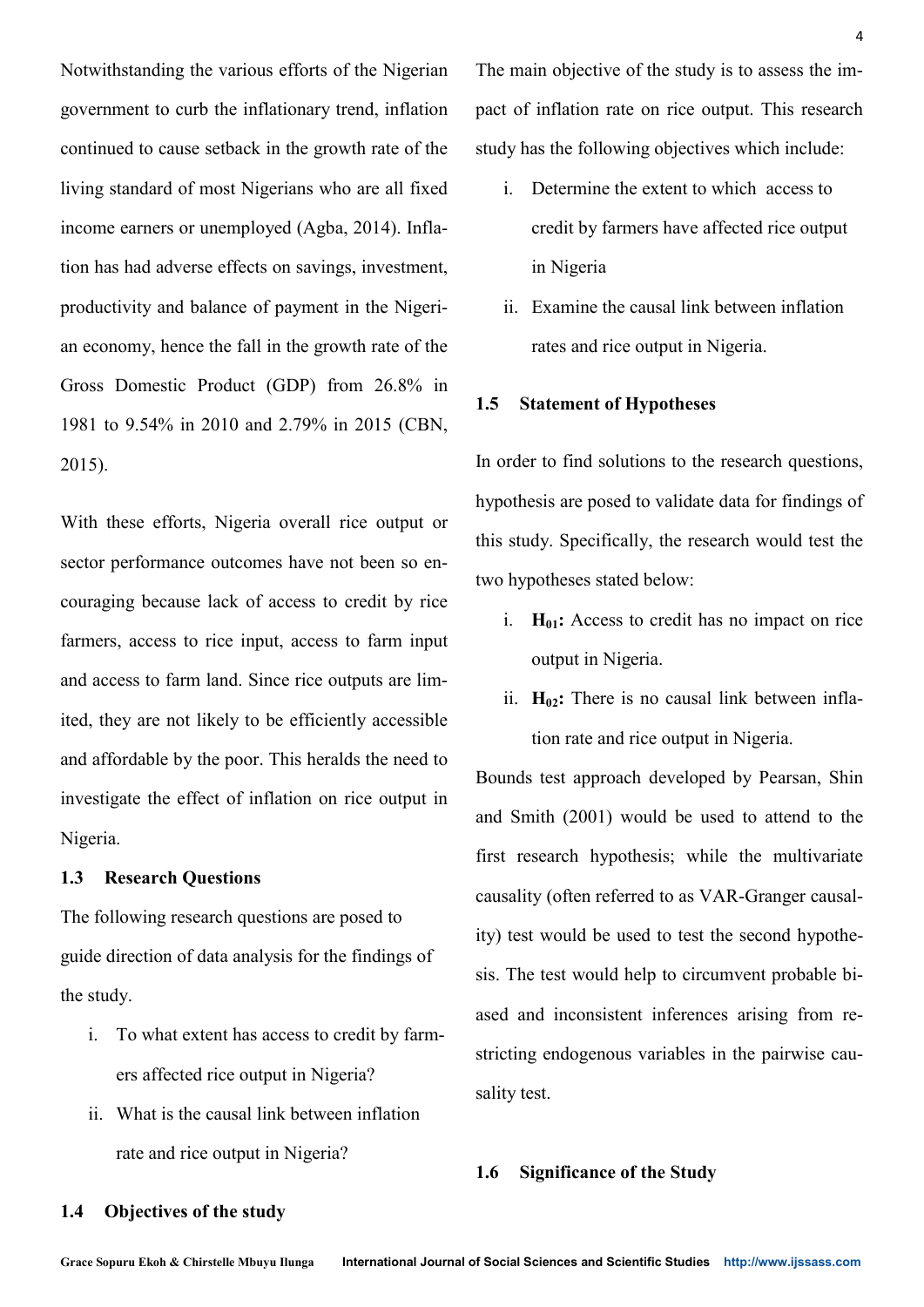Notwithstanding the various efforts of the Nigerian government to curb the inflationary trend, inflation continued to cause setback in the growth rate of the living standard of most Nigerians who are all fixed income earners or unemployed (Agba, 2014). Inflation has had adverse effects on savings, investment, productivity and balance of payment in the Nigerian economy, hence the fall in the growth rate of the Gross Domestic Product (GDP) from 26.8% in 1981 to 9.54% in 2010 and 2.79% in 2015 (CBN, 2015).

With these efforts, Nigeria overall rice output or sector performance outcomes have not been so encouraging because lack of access to credit by rice farmers, access to rice input, access to farm input and access to farm land. Since rice outputs are limited, they are not likely to be efficiently accessible and affordable by the poor. This heralds the need to investigate the effect of inflation on rice output in Nigeria.

# **1.3 Research Questions**

The following research questions are posed to guide direction of data analysis for the findings of the study.

- i. To what extent has access to credit by farmers affected rice output in Nigeria?
- ii. What is the causal link between inflation rate and rice output in Nigeria?

The main objective of the study is to assess the impact of inflation rate on rice output. This research study has the following objectives which include:

4

- i. Determine the extent to which access to credit by farmers have affected rice output in Nigeria
- ii. Examine the causal link between inflation rates and rice output in Nigeria.

# **1.5 Statement of Hypotheses**

In order to find solutions to the research questions, hypothesis are posed to validate data for findings of this study. Specifically, the research would test the two hypotheses stated below:

- i.  $H_{01}$ : Access to credit has no impact on rice output in Nigeria.
- ii. **H02:** There is no causal link between inflation rate and rice output in Nigeria.

Bounds test approach developed by Pearsan, Shin and Smith (2001) would be used to attend to the first research hypothesis; while the multivariate causality (often referred to as VAR-Granger causality) test would be used to test the second hypothesis. The test would help to circumvent probable biased and inconsistent inferences arising from restricting endogenous variables in the pairwise causality test.

# **1.6 Significance of the Study**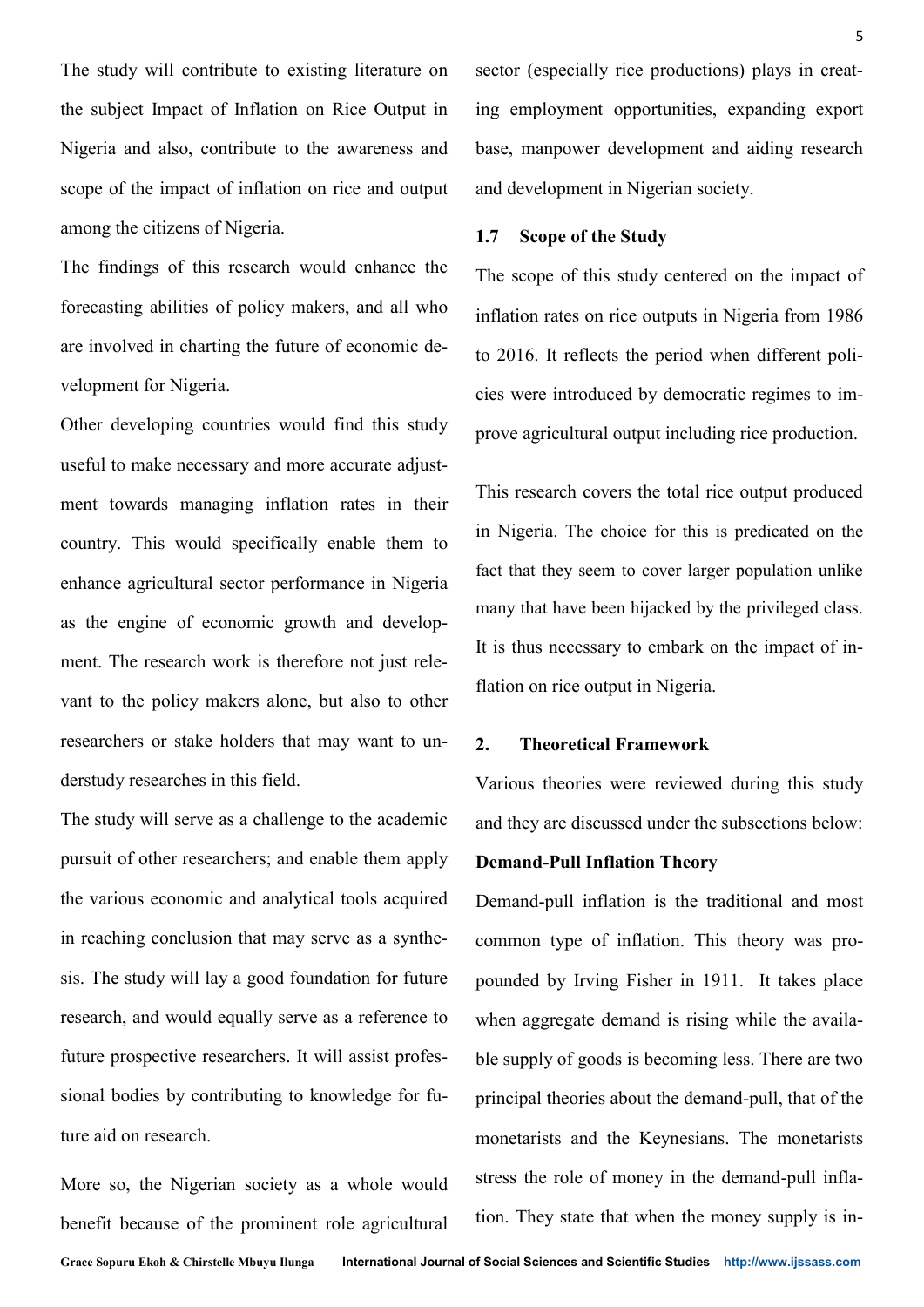The study will contribute to existing literature on the subject Impact of Inflation on Rice Output in Nigeria and also, contribute to the awareness and scope of the impact of inflation on rice and output among the citizens of Nigeria.

The findings of this research would enhance the forecasting abilities of policy makers, and all who are involved in charting the future of economic development for Nigeria.

Other developing countries would find this study useful to make necessary and more accurate adjustment towards managing inflation rates in their country. This would specifically enable them to enhance agricultural sector performance in Nigeria as the engine of economic growth and development. The research work is therefore not just relevant to the policy makers alone, but also to other researchers or stake holders that may want to understudy researches in this field.

The study will serve as a challenge to the academic pursuit of other researchers; and enable them apply the various economic and analytical tools acquired in reaching conclusion that may serve as a synthesis. The study will lay a good foundation for future research, and would equally serve as a reference to future prospective researchers. It will assist professional bodies by contributing to knowledge for future aid on research.

More so, the Nigerian society as a whole would benefit because of the prominent role agricultural sector (especially rice productions) plays in creating employment opportunities, expanding export base, manpower development and aiding research and development in Nigerian society.

## **1.7 Scope of the Study**

The scope of this study centered on the impact of inflation rates on rice outputs in Nigeria from 1986 to 2016. It reflects the period when different policies were introduced by democratic regimes to improve agricultural output including rice production.

This research covers the total rice output produced in Nigeria. The choice for this is predicated on the fact that they seem to cover larger population unlike many that have been hijacked by the privileged class. It is thus necessary to embark on the impact of inflation on rice output in Nigeria.

# **2. Theoretical Framework**

Various theories were reviewed during this study and they are discussed under the subsections below:

#### **Demand-Pull Inflation Theory**

Demand-pull inflation is the traditional and most common type of inflation. This theory was propounded by Irving Fisher in 1911. It takes place when aggregate demand is rising while the available supply of goods is becoming less. There are two principal theories about the demand-pull, that of the monetarists and the Keynesians. The monetarists stress the role of money in the demand-pull inflation. They state that when the money supply is in-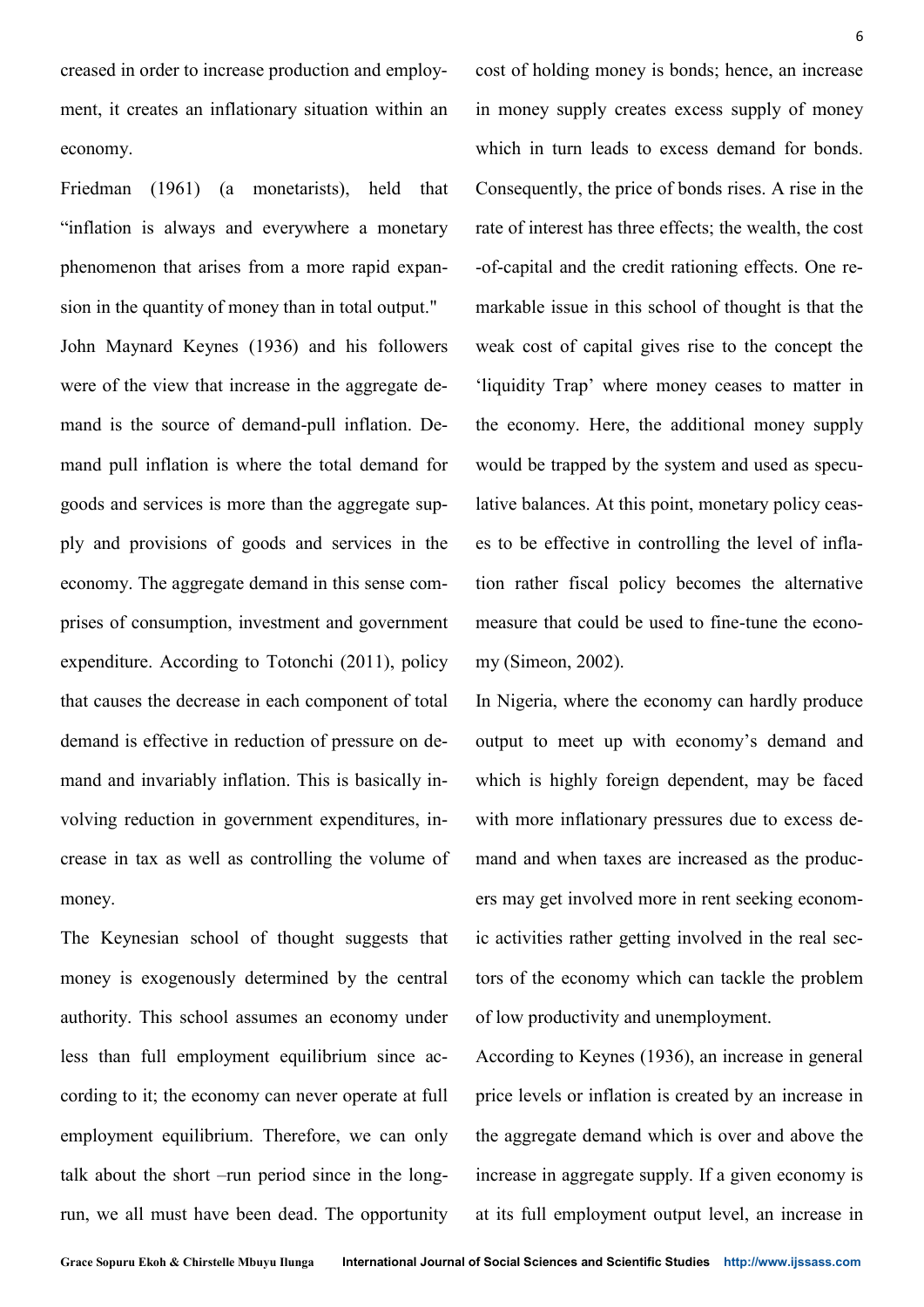creased in order to increase production and employment, it creates an inflationary situation within an economy.

Friedman (1961) (a monetarists), held that "inflation is always and everywhere a monetary phenomenon that arises from a more rapid expansion in the quantity of money than in total output." John Maynard Keynes (1936) and his followers were of the view that increase in the aggregate demand is the source of demand-pull inflation. Demand pull inflation is where the total demand for goods and services is more than the aggregate supply and provisions of goods and services in the economy. The aggregate demand in this sense comprises of consumption, investment and government expenditure. According to Totonchi (2011), policy that causes the decrease in each component of total demand is effective in reduction of pressure on demand and invariably inflation. This is basically involving reduction in government expenditures, increase in tax as well as controlling the volume of money.

The Keynesian school of thought suggests that money is exogenously determined by the central authority. This school assumes an economy under less than full employment equilibrium since according to it; the economy can never operate at full employment equilibrium. Therefore, we can only talk about the short –run period since in the longrun, we all must have been dead. The opportunity cost of holding money is bonds; hence, an increase in money supply creates excess supply of money which in turn leads to excess demand for bonds. Consequently, the price of bonds rises. A rise in the rate of interest has three effects; the wealth, the cost -of-capital and the credit rationing effects. One remarkable issue in this school of thought is that the weak cost of capital gives rise to the concept the 'liquidity Trap' where money ceases to matter in the economy. Here, the additional money supply would be trapped by the system and used as speculative balances. At this point, monetary policy ceases to be effective in controlling the level of inflation rather fiscal policy becomes the alternative measure that could be used to fine-tune the economy (Simeon, 2002).

In Nigeria, where the economy can hardly produce output to meet up with economy's demand and which is highly foreign dependent, may be faced with more inflationary pressures due to excess demand and when taxes are increased as the producers may get involved more in rent seeking economic activities rather getting involved in the real sectors of the economy which can tackle the problem of low productivity and unemployment.

According to Keynes (1936), an increase in general price levels or inflation is created by an increase in the aggregate demand which is over and above the increase in aggregate supply. If a given economy is at its full employment output level, an increase in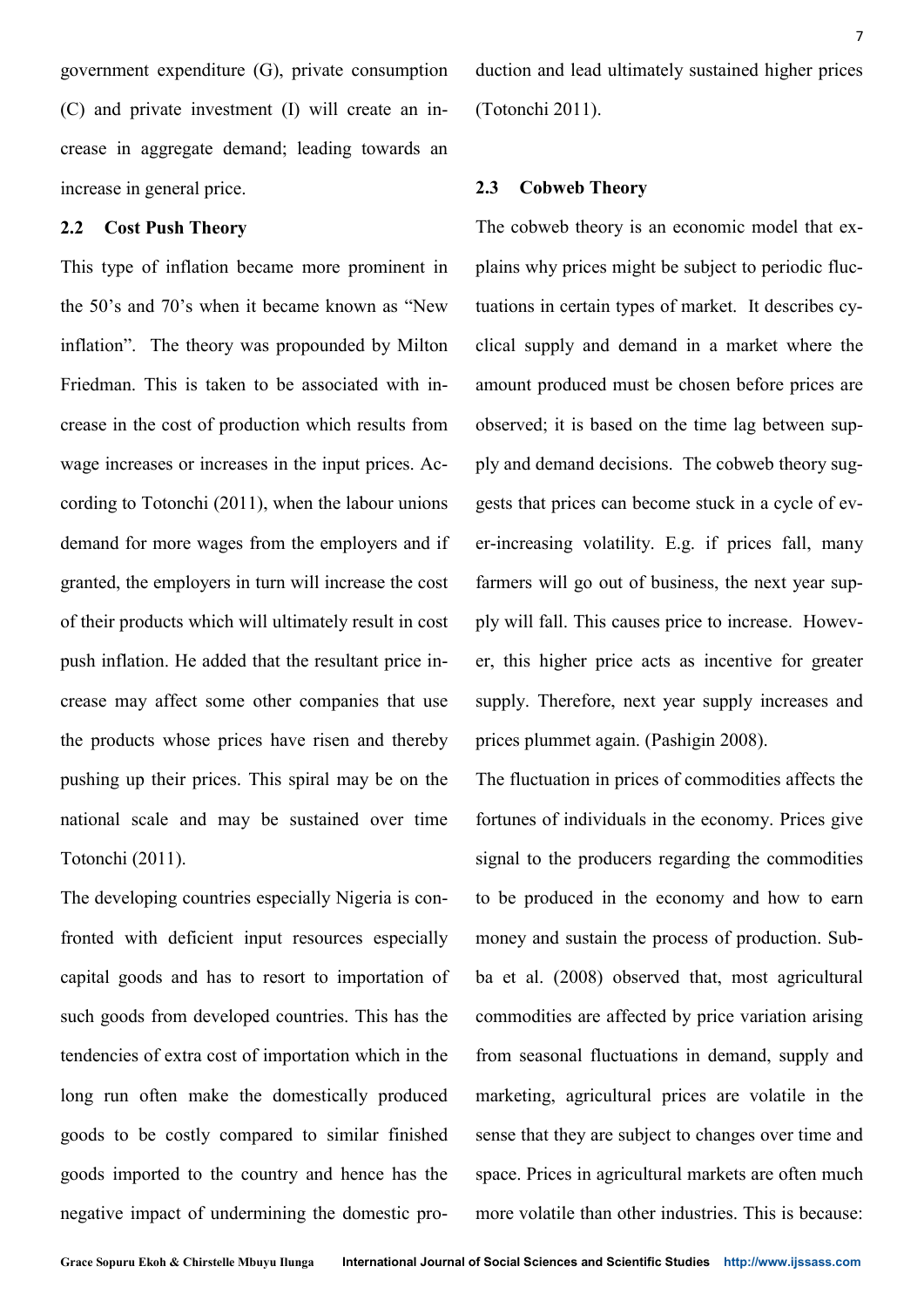government expenditure (G), private consumption (C) and private investment (I) will create an increase in aggregate demand; leading towards an increase in general price.

# **2.2 Cost Push Theory**

This type of inflation became more prominent in the 50's and 70's when it became known as "New inflation". The theory was propounded by Milton Friedman. This is taken to be associated with increase in the cost of production which results from wage increases or increases in the input prices. According to Totonchi (2011), when the labour unions demand for more wages from the employers and if granted, the employers in turn will increase the cost of their products which will ultimately result in cost push inflation. He added that the resultant price increase may affect some other companies that use the products whose prices have risen and thereby pushing up their prices. This spiral may be on the national scale and may be sustained over time Totonchi (2011).

The developing countries especially Nigeria is confronted with deficient input resources especially capital goods and has to resort to importation of such goods from developed countries. This has the tendencies of extra cost of importation which in the long run often make the domestically produced goods to be costly compared to similar finished goods imported to the country and hence has the negative impact of undermining the domestic production and lead ultimately sustained higher prices (Totonchi 2011).

# **2.3 Cobweb Theory**

The cobweb theory is an economic model that explains why prices might be subject to periodic fluctuations in certain types of market. It describes cyclical supply and demand in a market where the amount produced must be chosen before prices are observed; it is based on the time lag between supply and demand decisions. The cobweb theory suggests that prices can become stuck in a cycle of ever-increasing volatility. E.g. if prices fall, many farmers will go out of business, the next year supply will fall. This causes price to increase. However, this higher price acts as incentive for greater supply. Therefore, next year supply increases and prices plummet again. (Pashigin 2008).

The fluctuation in prices of commodities affects the fortunes of individuals in the economy. Prices give signal to the producers regarding the commodities to be produced in the economy and how to earn money and sustain the process of production. Subba et al. (2008) observed that, most agricultural commodities are affected by price variation arising from seasonal fluctuations in demand, supply and marketing, agricultural prices are volatile in the sense that they are subject to changes over time and space. Prices in agricultural markets are often much more volatile than other industries. This is because: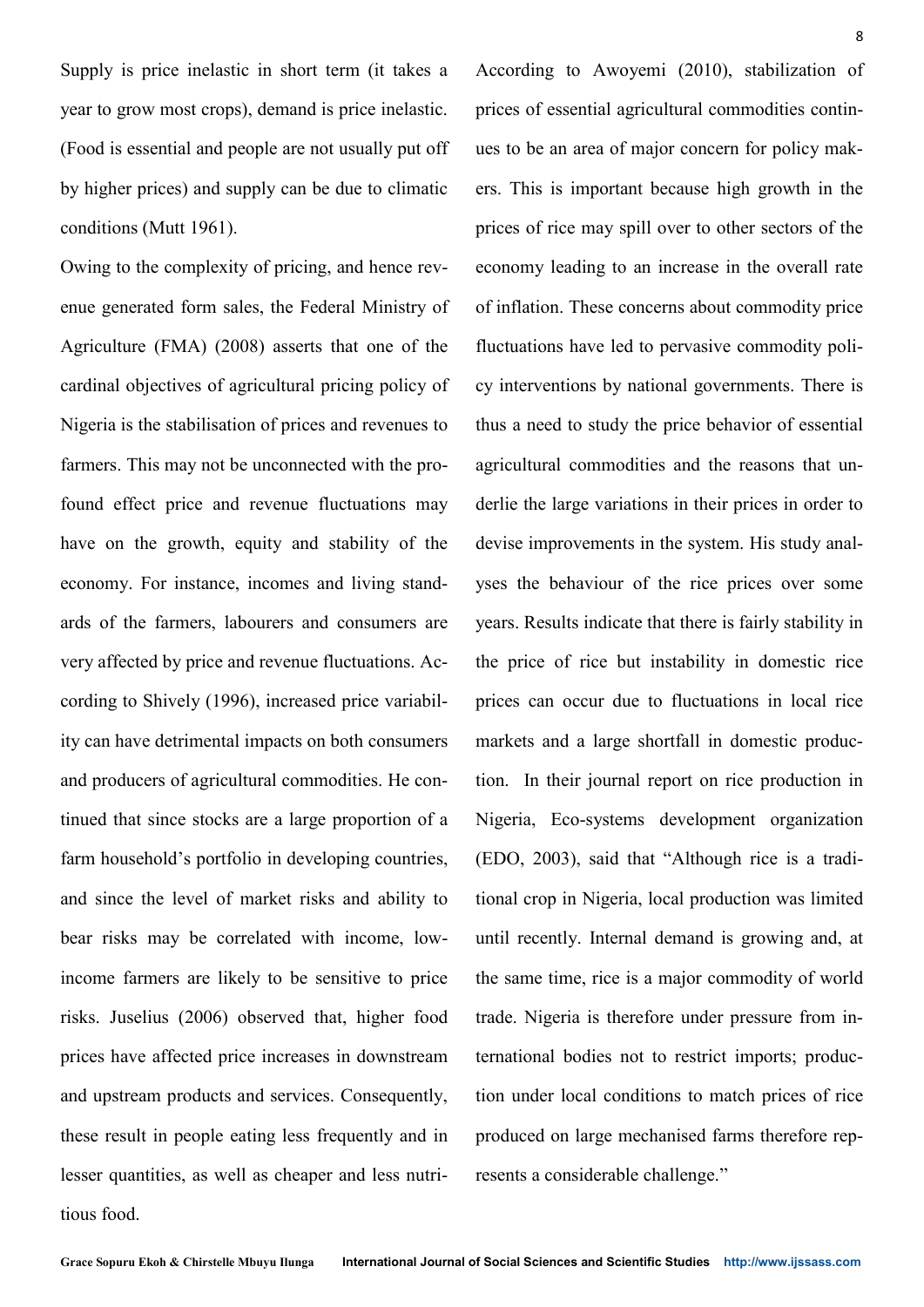Supply is price inelastic in short term (it takes a year to grow most crops), demand is price inelastic. (Food is essential and people are not usually put off by higher prices) and supply can be due to climatic conditions (Mutt 1961).

Owing to the complexity of pricing, and hence revenue generated form sales, the Federal Ministry of Agriculture (FMA) (2008) asserts that one of the cardinal objectives of agricultural pricing policy of Nigeria is the stabilisation of prices and revenues to farmers. This may not be unconnected with the profound effect price and revenue fluctuations may have on the growth, equity and stability of the economy. For instance, incomes and living standards of the farmers, labourers and consumers are very affected by price and revenue fluctuations. According to Shively (1996), increased price variability can have detrimental impacts on both consumers and producers of agricultural commodities. He continued that since stocks are a large proportion of a farm household's portfolio in developing countries, and since the level of market risks and ability to bear risks may be correlated with income, lowincome farmers are likely to be sensitive to price risks. Juselius (2006) observed that, higher food prices have affected price increases in downstream and upstream products and services. Consequently, these result in people eating less frequently and in lesser quantities, as well as cheaper and less nutritious food.

According to Awoyemi (2010), stabilization of prices of essential agricultural commodities continues to be an area of major concern for policy makers. This is important because high growth in the prices of rice may spill over to other sectors of the economy leading to an increase in the overall rate of inflation. These concerns about commodity price fluctuations have led to pervasive commodity policy interventions by national governments. There is thus a need to study the price behavior of essential agricultural commodities and the reasons that underlie the large variations in their prices in order to devise improvements in the system. His study analyses the behaviour of the rice prices over some years. Results indicate that there is fairly stability in the price of rice but instability in domestic rice prices can occur due to fluctuations in local rice markets and a large shortfall in domestic production. In their journal report on rice production in Nigeria, Eco-systems development organization (EDO, 2003), said that "Although rice is a traditional crop in Nigeria, local production was limited until recently. Internal demand is growing and, at the same time, rice is a major commodity of world trade. Nigeria is therefore under pressure from international bodies not to restrict imports; production under local conditions to match prices of rice produced on large mechanised farms therefore represents a considerable challenge."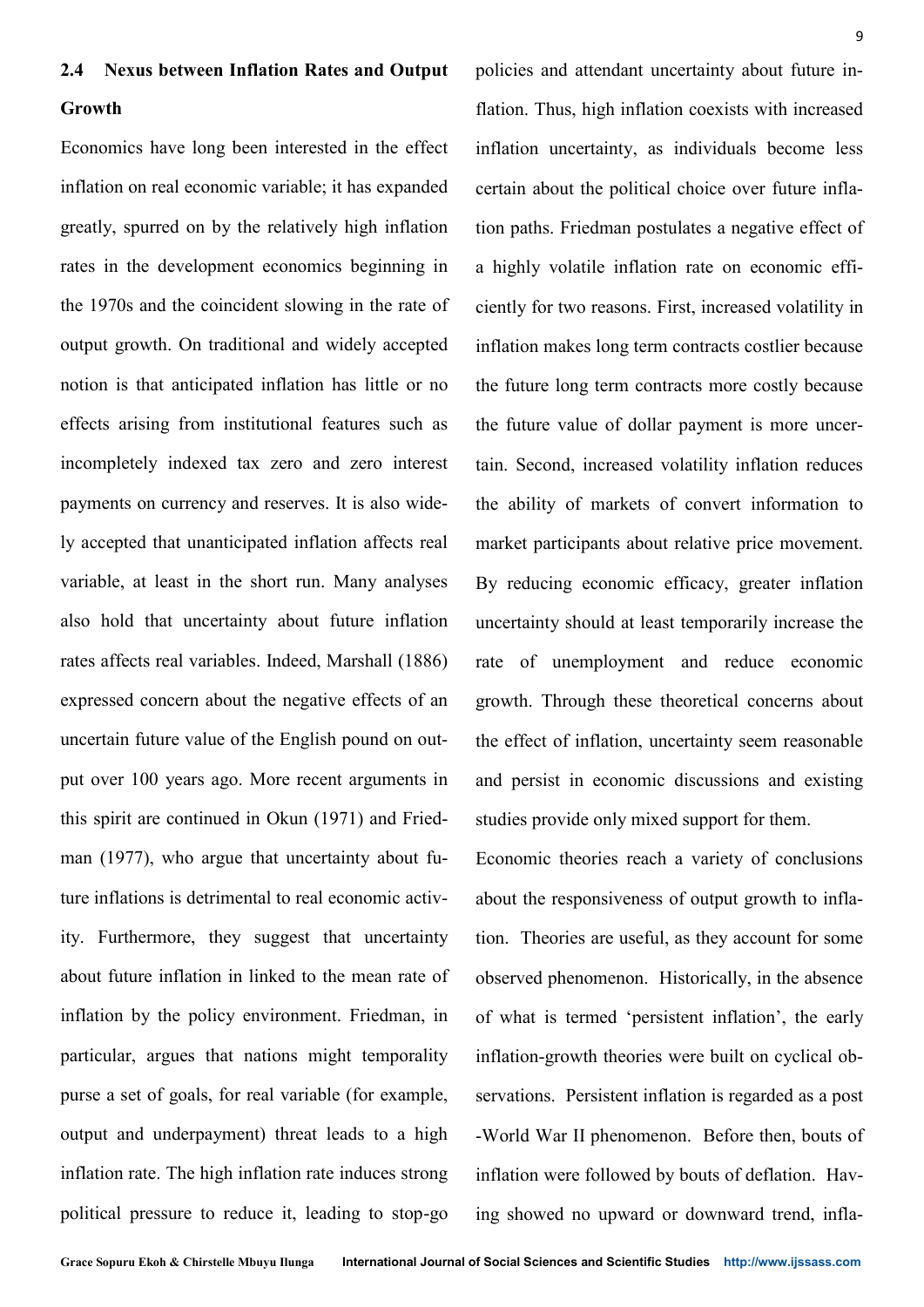# **2.4 Nexus between Inflation Rates and Output**

# **Growth**

Economics have long been interested in the effect inflation on real economic variable; it has expanded greatly, spurred on by the relatively high inflation rates in the development economics beginning in the 1970s and the coincident slowing in the rate of output growth. On traditional and widely accepted notion is that anticipated inflation has little or no effects arising from institutional features such as incompletely indexed tax zero and zero interest payments on currency and reserves. It is also widely accepted that unanticipated inflation affects real variable, at least in the short run. Many analyses also hold that uncertainty about future inflation rates affects real variables. Indeed, Marshall (1886) expressed concern about the negative effects of an uncertain future value of the English pound on output over 100 years ago. More recent arguments in this spirit are continued in Okun (1971) and Friedman (1977), who argue that uncertainty about future inflations is detrimental to real economic activity. Furthermore, they suggest that uncertainty about future inflation in linked to the mean rate of inflation by the policy environment. Friedman, in particular, argues that nations might temporality purse a set of goals, for real variable (for example, output and underpayment) threat leads to a high inflation rate. The high inflation rate induces strong political pressure to reduce it, leading to stop-go

policies and attendant uncertainty about future inflation. Thus, high inflation coexists with increased inflation uncertainty, as individuals become less certain about the political choice over future inflation paths. Friedman postulates a negative effect of a highly volatile inflation rate on economic efficiently for two reasons. First, increased volatility in inflation makes long term contracts costlier because the future long term contracts more costly because the future value of dollar payment is more uncertain. Second, increased volatility inflation reduces the ability of markets of convert information to market participants about relative price movement. By reducing economic efficacy, greater inflation uncertainty should at least temporarily increase the rate of unemployment and reduce economic growth. Through these theoretical concerns about the effect of inflation, uncertainty seem reasonable and persist in economic discussions and existing studies provide only mixed support for them.

Economic theories reach a variety of conclusions about the responsiveness of output growth to inflation. Theories are useful, as they account for some observed phenomenon. Historically, in the absence of what is termed 'persistent inflation', the early inflation-growth theories were built on cyclical observations. Persistent inflation is regarded as a post -World War II phenomenon. Before then, bouts of inflation were followed by bouts of deflation. Having showed no upward or downward trend, infla-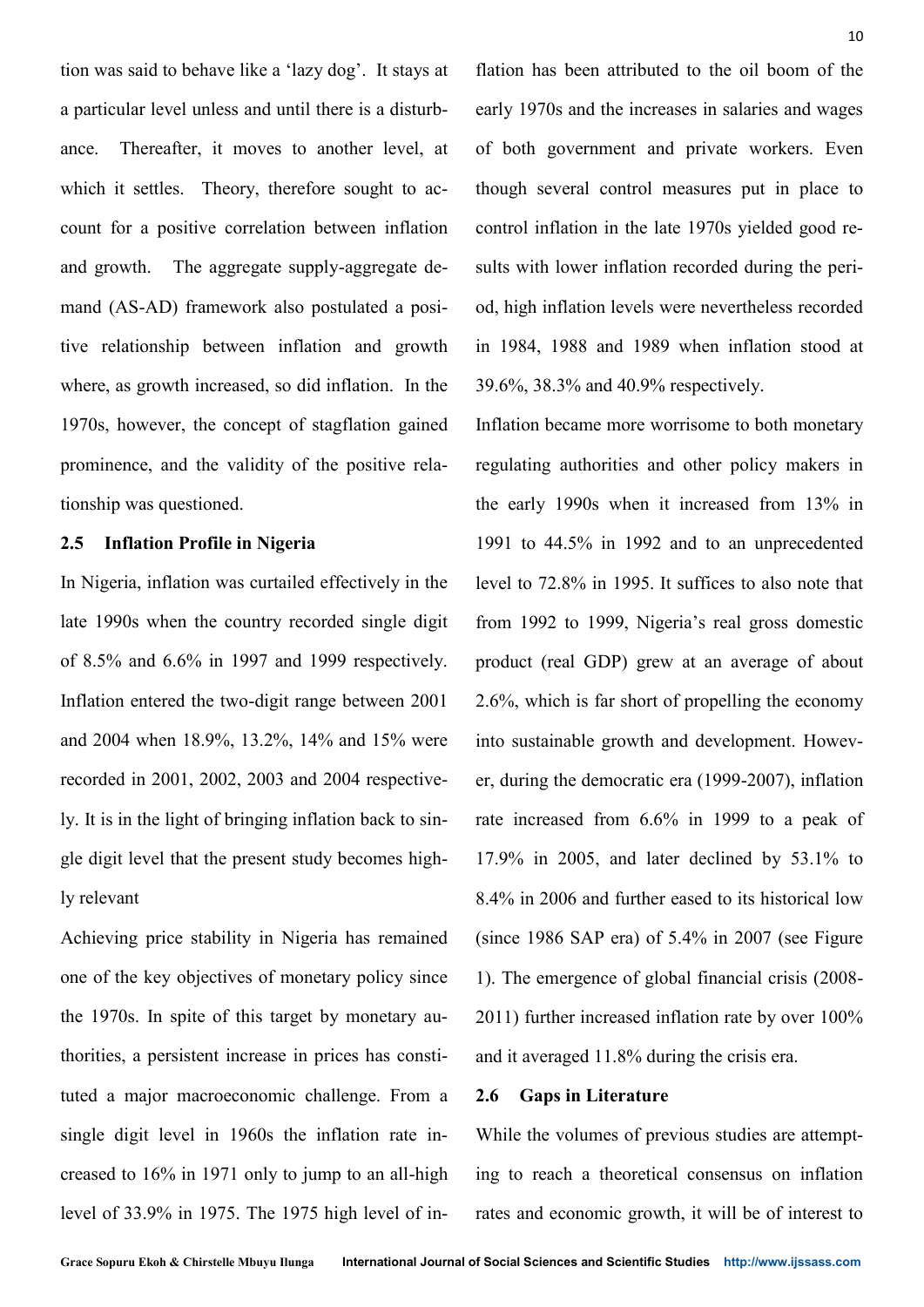tion was said to behave like a 'lazy dog'. It stays at a particular level unless and until there is a disturbance. Thereafter, it moves to another level, at which it settles. Theory, therefore sought to account for a positive correlation between inflation and growth. The aggregate supply-aggregate demand (AS-AD) framework also postulated a positive relationship between inflation and growth where, as growth increased, so did inflation. In the 1970s, however, the concept of stagflation gained prominence, and the validity of the positive relationship was questioned.

# **2.5 Inflation Profile in Nigeria**

In Nigeria, inflation was curtailed effectively in the late 1990s when the country recorded single digit of 8.5% and 6.6% in 1997 and 1999 respectively. Inflation entered the two-digit range between 2001 and 2004 when 18.9%, 13.2%, 14% and 15% were recorded in 2001, 2002, 2003 and 2004 respectively. It is in the light of bringing inflation back to single digit level that the present study becomes highly relevant

Achieving price stability in Nigeria has remained one of the key objectives of monetary policy since the 1970s. In spite of this target by monetary authorities, a persistent increase in prices has constituted a major macroeconomic challenge. From a single digit level in 1960s the inflation rate increased to 16% in 1971 only to jump to an all-high level of 33.9% in 1975. The 1975 high level of inflation has been attributed to the oil boom of the early 1970s and the increases in salaries and wages of both government and private workers. Even though several control measures put in place to control inflation in the late 1970s yielded good results with lower inflation recorded during the period, high inflation levels were nevertheless recorded in 1984, 1988 and 1989 when inflation stood at 39.6%, 38.3% and 40.9% respectively.

Inflation became more worrisome to both monetary regulating authorities and other policy makers in the early 1990s when it increased from 13% in 1991 to 44.5% in 1992 and to an unprecedented level to 72.8% in 1995. It suffices to also note that from 1992 to 1999, Nigeria's real gross domestic product (real GDP) grew at an average of about 2.6%, which is far short of propelling the economy into sustainable growth and development. However, during the democratic era (1999-2007), inflation rate increased from 6.6% in 1999 to a peak of 17.9% in 2005, and later declined by 53.1% to 8.4% in 2006 and further eased to its historical low (since 1986 SAP era) of 5.4% in 2007 (see Figure 1). The emergence of global financial crisis (2008- 2011) further increased inflation rate by over 100% and it averaged 11.8% during the crisis era.

# **2.6 Gaps in Literature**

While the volumes of previous studies are attempting to reach a theoretical consensus on inflation rates and economic growth, it will be of interest to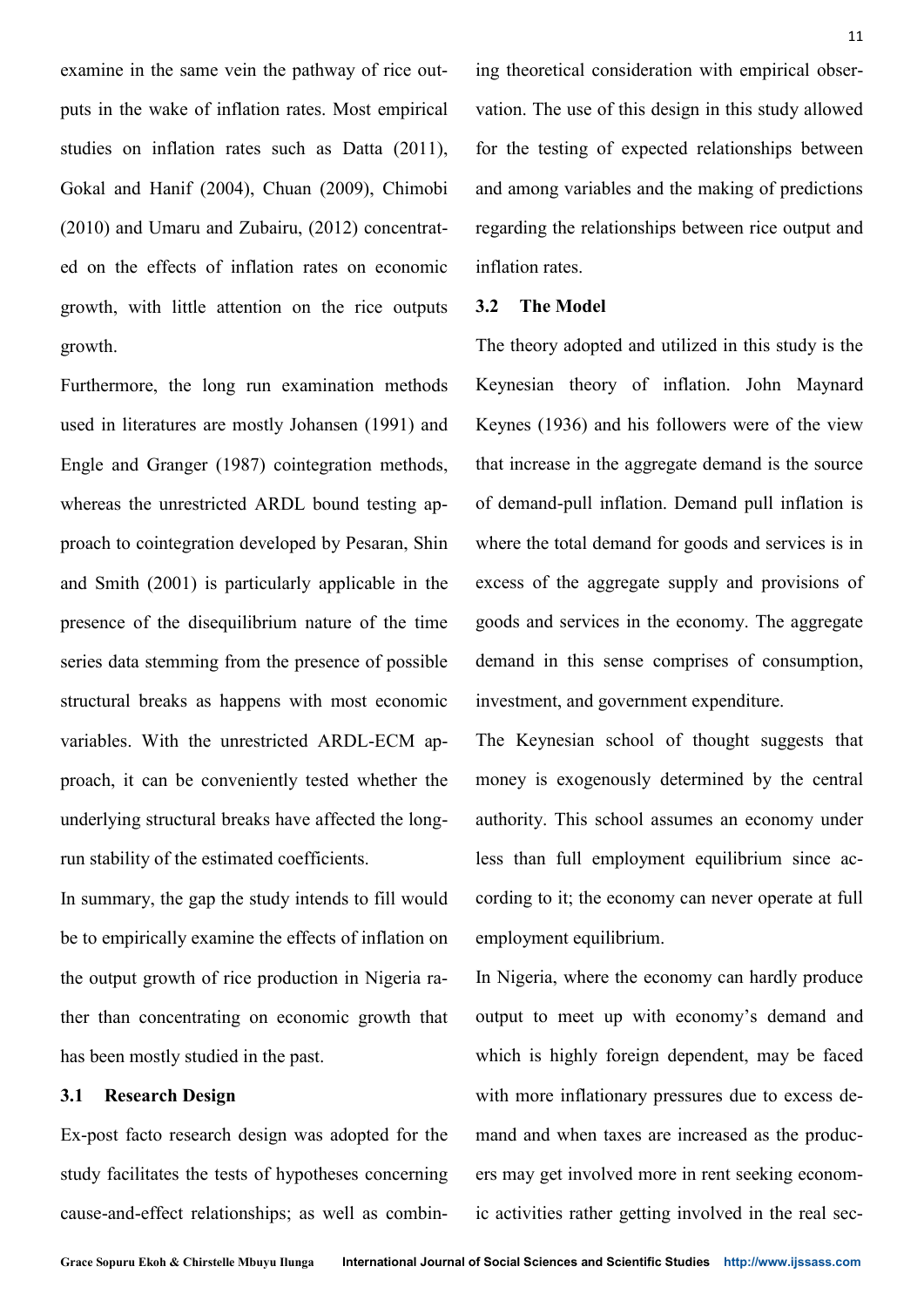examine in the same vein the pathway of rice outputs in the wake of inflation rates. Most empirical studies on inflation rates such as Datta (2011), Gokal and Hanif (2004), Chuan (2009), Chimobi (2010) and Umaru and Zubairu, (2012) concentrated on the effects of inflation rates on economic growth, with little attention on the rice outputs growth.

Furthermore, the long run examination methods used in literatures are mostly Johansen (1991) and Engle and Granger (1987) cointegration methods, whereas the unrestricted ARDL bound testing approach to cointegration developed by Pesaran, Shin and Smith (2001) is particularly applicable in the presence of the disequilibrium nature of the time series data stemming from the presence of possible structural breaks as happens with most economic variables. With the unrestricted ARDL-ECM approach, it can be conveniently tested whether the underlying structural breaks have affected the longrun stability of the estimated coefficients.

In summary, the gap the study intends to fill would be to empirically examine the effects of inflation on the output growth of rice production in Nigeria rather than concentrating on economic growth that has been mostly studied in the past.

# **3.1 Research Design**

Ex-post facto research design was adopted for the study facilitates the tests of hypotheses concerning cause-and-effect relationships; as well as combining theoretical consideration with empirical observation. The use of this design in this study allowed for the testing of expected relationships between and among variables and the making of predictions regarding the relationships between rice output and inflation rates.

# **3.2 The Model**

The theory adopted and utilized in this study is the Keynesian theory of inflation. John Maynard Keynes (1936) and his followers were of the view that increase in the aggregate demand is the source of demand-pull inflation. Demand pull inflation is where the total demand for goods and services is in excess of the aggregate supply and provisions of goods and services in the economy. The aggregate demand in this sense comprises of consumption, investment, and government expenditure.

The Keynesian school of thought suggests that money is exogenously determined by the central authority. This school assumes an economy under less than full employment equilibrium since according to it; the economy can never operate at full employment equilibrium.

In Nigeria, where the economy can hardly produce output to meet up with economy's demand and which is highly foreign dependent, may be faced with more inflationary pressures due to excess demand and when taxes are increased as the producers may get involved more in rent seeking economic activities rather getting involved in the real sec-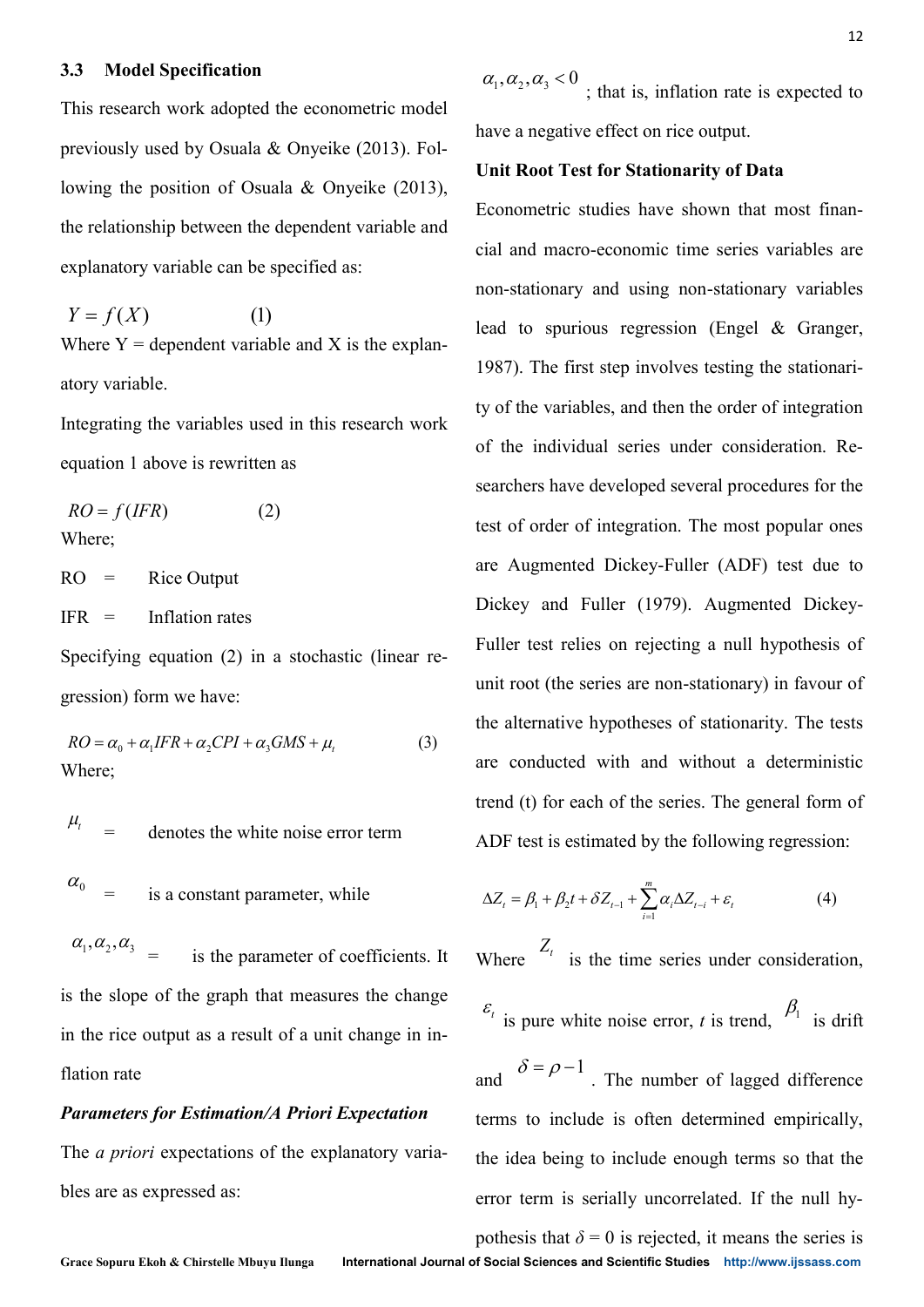#### **3.3 Model Specification**

This research work adopted the econometric model previously used by Osuala & Onyeike (2013). Following the position of Osuala & Onyeike (2013), the relationship between the dependent variable and explanatory variable can be specified as:

$$
Y = f(X) \tag{1}
$$

Where  $Y =$  dependent variable and X is the explanatory variable.

Integrating the variables used in this research work equation 1 above is rewritten as

$$
RO = f(IFR)
$$
 (2)  
Where;

 $RO =$  Rice Output

 $IFR = Inflation rates$ 

Specifying equation (2) in a stochastic (linear regression) form we have:

$$
RO = \alpha_0 + \alpha_1 IFR + \alpha_2 CPI + \alpha_3 GMS + \mu_t
$$
 (3)  
Where;

$$
r_t =
$$
 denotes the white noise error term

= is a constant parameter, while

 $\alpha_1, \alpha_2, \alpha_3$  = is the parameter of coefficients. It is the slope of the graph that measures the change in the rice output as a result of a unit change in inflation rate

# *Parameters for Estimation/A Priori Expectation*

The *a priori* expectations of the explanatory variables are as expressed as:

 $\alpha_1, \alpha_2, \alpha_3 < 0$ ; that is, inflation rate is expected to have a negative effect on rice output.

# **Unit Root Test for Stationarity of Data**

Econometric studies have shown that most financial and macro-economic time series variables are non-stationary and using non-stationary variables lead to spurious regression (Engel & Granger, 1987). The first step involves testing the stationarity of the variables, and then the order of integration of the individual series under consideration. Researchers have developed several procedures for the test of order of integration. The most popular ones are Augmented Dickey-Fuller (ADF) test due to Dickey and Fuller (1979). Augmented Dickey-Fuller test relies on rejecting a null hypothesis of unit root (the series are non-stationary) in favour of the alternative hypotheses of stationarity. The tests are conducted with and without a deterministic trend (t) for each of the series. The general form of ADF test is estimated by the following regression: **13. Model Specification**<br>
the research vertic stopped the economicity road  $\alpha_1, \alpha_2, \alpha_3$  by Chank as Chapter (*D13*), Tal. have a negative of Net art means the series of the potention of Oxtata & Oxycine (2013). Ta 3 **Model Specification**<br>
23 **Model Specification**<br>
24,  $a_2$ ,  $a_3$   $a_5$   $b_6$  intit is, inflation rate is experiment<br>
26 intervalsed by Osuala & Onyvike (2013). Fol. <br>
26 Lunit Root Test for Stationarity of Data<br>
26 win The state of integration. The sphere of integration. The sphere of integration. The sphere of integration. The sphere of set relies on rejecting to the series are non-standard with and with a sphere of sphere of the serie reflects have developed several proced<br>of order of integration. The most po<br>Augmented Dickey-Fuller (ADF)<br>key and Fuller (1979). Augmente<br>ler test relies on rejecting a null hy<br>t root (the series are non-stationary) i<br>alt *Z t Z Z* − − and and mean and the antisomeral control of<br>the  $\Delta E = \beta_1 + \beta_2 + \gamma_1 + \gamma_2$ <br>in the Root Test for Stationarity of Data<br>iconometric studies have shown that most finan-<br>ial and macro-economic time series variables are<br>on-stati

$$
\Delta Z_t = \beta_1 + \beta_2 t + \delta Z_{t-1} + \sum_{i=1}^m \alpha_i \Delta Z_{t-i} + \varepsilon_t \tag{4}
$$

Where  $Z_t$  is the time series under consideration,

$$
\varepsilon_t
$$
 is pure white noise error, *t* is trend,  $\beta_1$  is drift

and  $\overline{P}$   $\overline{P}$  . The number of lagged difference terms to include is often determined empirically, the idea being to include enough terms so that the error term is serially uncorrelated. If the null hy- $Z_t$  is the time series under<br>pure white noise error, *t* is tren<br> $\delta = \rho - 1$ . The number of lagg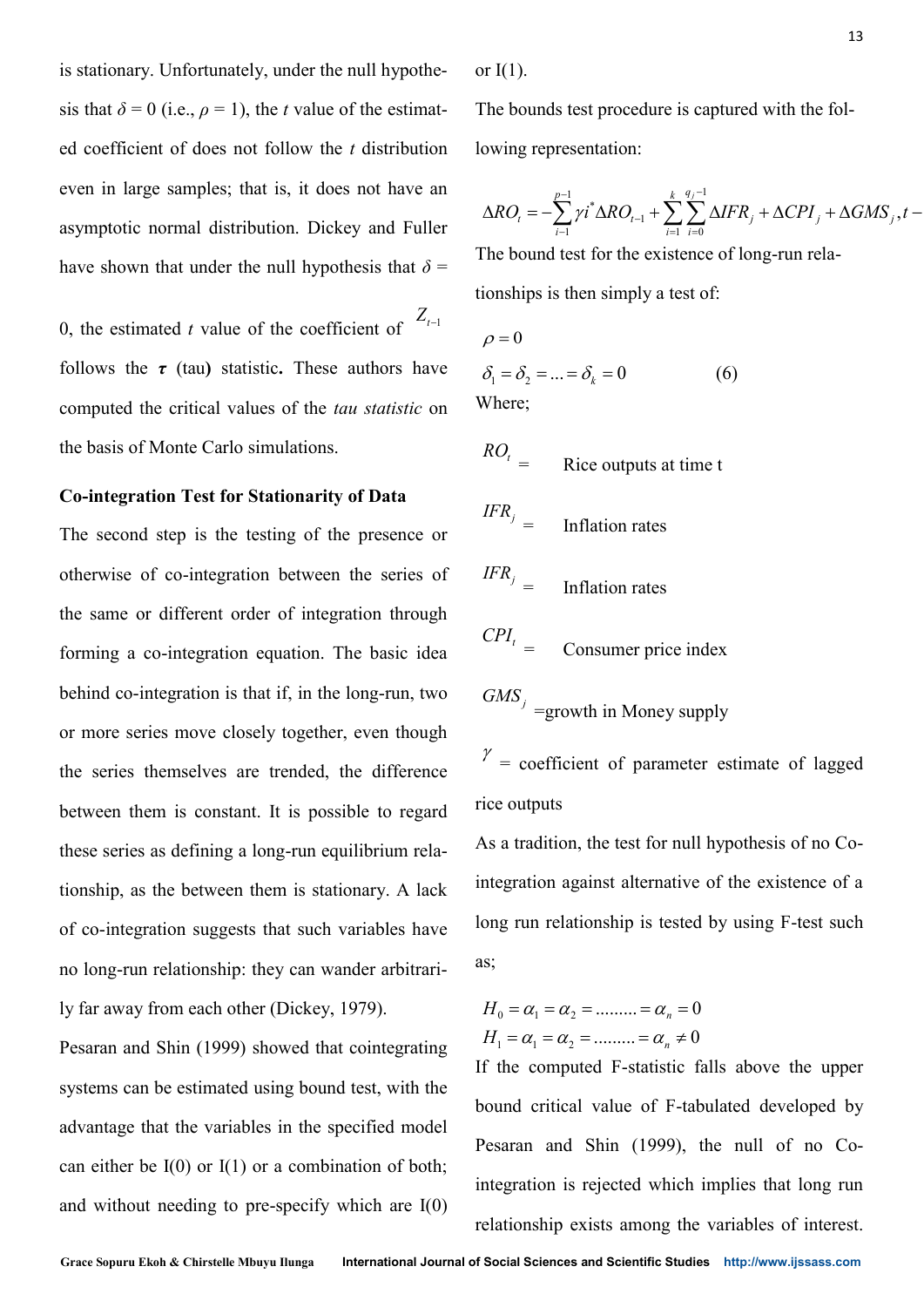is stationary. Unfortunately, under the null hypothesis that  $\delta = 0$  (i.e.,  $\rho = 1$ ), the *t* value of the estimated coefficient of does not follow the *t* distribution even in large samples; that is, it does not have an asymptotic normal distribution. Dickey and Fuller have shown that under the null hypothesis that  $\delta$  =

0, the estimated *t* value of the coefficient of  $Z_{t-1}$ follows the *τ* (tau**)** statistic**.** These authors have computed the critical values of the *tau statistic* on the basis of Monte Carlo simulations.

# **Co-integration Test for Stationarity of Data**

The second step is the testing of the presence or otherwise of co-integration between the series of the same or different order of integration through forming a co-integration equation. The basic idea behind co-integration is that if, in the long-run, two or more series move closely together, even though the series themselves are trended, the difference between them is constant. It is possible to regard these series as defining a long-run equilibrium relationship, as the between them is stationary. A lack of co-integration suggests that such variables have no long-run relationship: they can wander arbitrarily far away from each other (Dickey, 1979).

Pesaran and Shin (1999) showed that cointegrating systems can be estimated using bound test, with the advantage that the variables in the specified model can either be  $I(0)$  or  $I(1)$  or a combination of both; and without needing to pre-specify which are I(0)

or  $I(1)$ .

The bounds test procedure is captured with the following representation: test procedure is captured wit<br>
esentation:<br>  $\int_{-1}^{-1} \gamma i^* \Delta R O_{t-1} + \sum_{i=1}^{k} \sum_{i=0}^{q_i-1} \Delta I F R_i + \Delta$ <br>
est for the existence of long-r<br>
then simply a test of:<br>  $= \delta_k = 0$  (6) *i* is test procedure is capture<br> *i* interaction:<br>  $\sum_{i=1}^{p-1} \gamma i^* \Delta R O_{t-1} + \sum_{i=1}^{k} \sum_{i=0}^{q_j-1} \Delta I F$ <br> *i* test for the existence of<br> *i* is then simply a test of:<br>  $\therefore = \delta_k = 0$  (6)

$$
13
$$
\n
$$
13
$$
\n
$$
13
$$
\n
$$
14
$$
\n
$$
15
$$
\nThe bounds test procedure is captured with the following representation:\n
$$
\Delta R O_t = -\sum_{i=1}^{p-1} \gamma t^* \Delta R O_{t-1} + \sum_{i=1}^{k} \sum_{i=0}^{q-1} \Delta I F R_i + \Delta C P I_j + \Delta G M S_j, t -
$$
\nThe bound test for the existence of long-run relations\n
$$
\Delta R O_t = 0
$$
\n
$$
\rho = 0
$$
\n
$$
\delta_1 = \delta_2 = \dots = \delta_k = 0
$$
\n
$$
\delta_1 = \delta_2 = \dots = \delta_k = 0
$$
\n
$$
16
$$
\n
$$
17
$$
\n
$$
18
$$
\n
$$
\rho = 0
$$
\n
$$
\delta_1 = \delta_2 = \dots = \delta_k = 0
$$
\n
$$
17
$$
\n
$$
\delta_1 = \delta_2 = \dots = \delta_k = 0
$$
\n
$$
18
$$
\n
$$
19
$$
\n
$$
10
$$
\n
$$
11
$$
\n
$$
13
$$
\n
$$
13
$$
\n
$$
18
$$
\n
$$
\Delta R O_t = \frac{\delta_1}{\delta_1} \Delta I F R_i + \Delta C P I_j + \Delta G M S_j, t -
$$
\n
$$
\rho = \frac{\delta_1}{\delta_1} \Delta I F R_i + \Delta C P I_j + \Delta G M S_j, t -
$$
\n
$$
\rho = 0
$$
\n
$$
\delta_1 = \delta_2 = \dots = \delta_k = 0
$$
\n
$$
16
$$
\n
$$
17
$$
\n
$$
\rho = 0
$$
\n
$$
\delta_1 = \delta_2 = \dots = \delta_k = 0
$$
\n
$$
17
$$
\n
$$
18
$$
\n
$$
19
$$
\n
$$
10
$$
\n
$$
11
$$
\n
$$
12
$$
\n
$$
13
$$
\n
$$
18
$$
\n

The bound test for the existence of long-run relationships is then simply a test of:

$$
\rho = 0
$$

$$
\delta_1 = \delta_2 = \dots = \delta_k = 0 \tag{6}
$$
  
Where;

$$
^{ROt} =
$$
 Rice outputs at time t

$$
IFR_j = \text{Inflation rates}
$$

$$
IFR_j = \text{Inflation rates}
$$

$$
CPI_t = \text{Cosumer price index}
$$

 $GMS_j$  =growth in Money supply

 $\gamma$  = coefficient of parameter estimate of lagged rice outputs

As a tradition, the test for null hypothesis of no Cointegration against alternative of the existence of a long run relationship is tested by using F-test such as; = coefficient of par<br>
e outputs<br>
a tradition, the test fc<br>
egration against altern<br>
ig run relationship is<br>  $\alpha_0 = \alpha_1 = \alpha_2 = \dots = 0$ <br>  $\alpha_1 = \alpha_2 = \dots = 0$ <br>
the computed F-station = coefficient of particular<br>
a tradition, the test for<br>
egration against alterring<br>
num relationship is<br>  $\Gamma_0 = \alpha_1 = \alpha_2 = \dots = 0$ <br>  $\Gamma_1 = \alpha_1 = \alpha_2 = \dots = 0$ <br>
the computed F-station<br>
the computed F-station tion rates<br>
sumer price index<br>
in Money supply<br>
t of parameter estimate of lagg<br>
he test for null hypothesis of no C<br>
mst alternative of the existence of<br>
mship is tested by using F-test su<br>
.........= $\alpha_n = 0$ <br>
.........= sumer price index<br>
in Money supply<br>
t of parameter estimate of lagg<br>
he test for null hypothesis of no C<br>
nst alternative of the existence of<br>
nship is tested by using F-test st<br>
.........=  $\alpha_n = 0$ <br>
.........=  $\alpha_n \neq 0$ = Inflation rates<br>
= Consumer price index<br>
= Consumer price index<br>  $\ell$  = growth in Money supply<br>
coefficient of parameter estimate of lagged<br>
ttputs<br>
cadition, the test for null hypothesis of no Co-<br>
tion against alterna Inflation rates<br>  $\frac{R_1}{r}$  = Inflation rates<br>
Inflation rates<br>
IS<sub>J</sub> = growth in Money supply<br>
= coefficient of parameter estimate of lagged<br>
outputs<br>
tradition, the test for null hypothesis of no Co-<br>
gration against a

$$
H_0 = \alpha_1 = \alpha_2 = \dots = \alpha_n = 0
$$
  

$$
H_1 = \alpha_1 = \alpha_2 = \dots = \alpha_n \neq 0
$$

If the computed F-statistic falls above the upper bound critical value of F-tabulated developed by Pesaran and Shin (1999), the null of no Cointegration is rejected which implies that long run  $Z_{i-1}$   $\rho = 0$ <br>
aave  $\delta_1 = \delta_2 = ... = \delta_k = 0$  (6)<br>
aave  $\delta_1 = \delta_2 = ... = \delta_k = 0$  (6)<br>  $RO_i$  *FFR*  $j = 1$  **Inflation rates**<br> **or**  $FFR$   $j = 1$  **Inflation rates**<br> **or**  $GMF_i$   $= 1$  **Consumer price index**<br> **two**  $GMS_j$  **\_\_\_\_\_\_\_\_\_**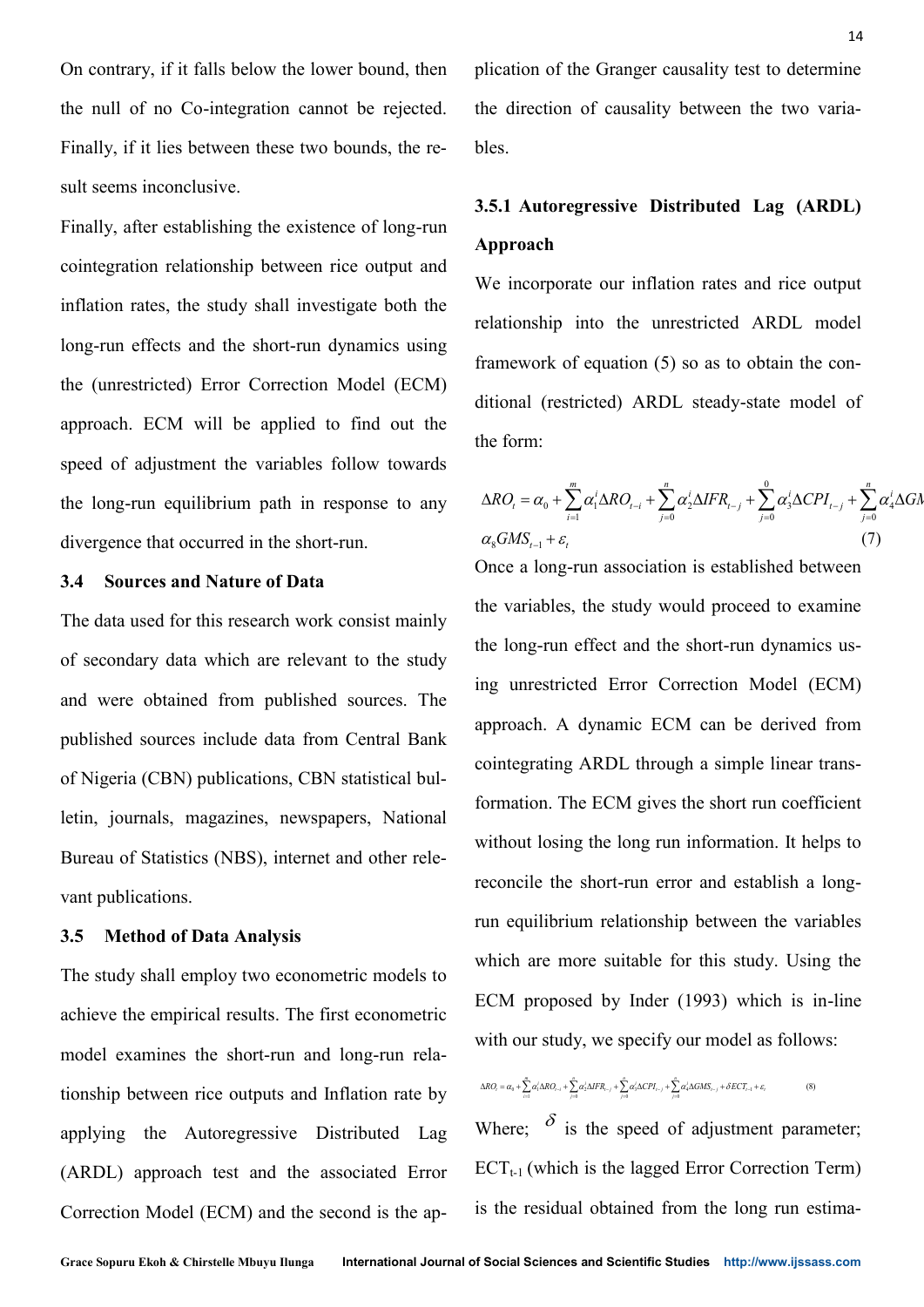On contrary, if it falls below the lower bound, then the null of no Co-integration cannot be rejected. Finally, if it lies between these two bounds, the result seems inconclusive.

Finally, after establishing the existence of long-run cointegration relationship between rice output and inflation rates, the study shall investigate both the long-run effects and the short-run dynamics using the (unrestricted) Error Correction Model (ECM) approach. ECM will be applied to find out the speed of adjustment the variables follow towards the long-run equilibrium path in response to any divergence that occurred in the short-run.

# **3.4 Sources and Nature of Data**

The data used for this research work consist mainly of secondary data which are relevant to the study and were obtained from published sources. The published sources include data from Central Bank of Nigeria (CBN) publications, CBN statistical bulletin, journals, magazines, newspapers, National Bureau of Statistics (NBS), internet and other relevant publications.

## **3.5 Method of Data Analysis**

The study shall employ two econometric models to achieve the empirical results. The first econometric model examines the short-run and long-run relationship between rice outputs and Inflation rate by applying the Autoregressive Distributed Lag (ARDL) approach test and the associated Error Correction Model (ECM) and the second is the application of the Granger causality test to determine the direction of causality between the two variables.

# **3.5.1 Autoregressive Distributed Lag (ARDL) Approach**

We incorporate our inflation rates and rice output relationship into the unrestricted ARDL model framework of equation (5) so as to obtain the conditional (restricted) ARDL steady-state model of the form: 14<br>
of the Granger causality test to determine<br>
tion of causality between the two varia-<br>
toregressive Distributed Lag (ARDL)<br>
h<br>
porate our inflation rates and rice output<br>
nip into the unrestricted ARDL model<br>
class to <sup>14</sup><br>
Granger causality test to determine<br>
causality between the two varia-<br> **essive Distributed Lag (ARDL)**<br>
our inflation rates and rice output<br>
o the unrestricted ARDL model<br>
quation (5) so as to obtain the con-<br>
ted) <sup>14</sup><br>
tion of the Granger causality test to determine<br>
lirection of causality between the two varia-<br> **Autorcgressive Distributed Lag (ARDL)**<br> **roach**<br>
neorporate our inflation rates and rice output<br>
onship into the unres <sup>14</sup><br>ger causality test to determine<br>sality between the two varia-<br>parameters and rice output<br>inflation rates and rice output<br>e unrestricted ARDL model<br>on (5) so as to obtain the con-<br>ARDL steady-state model of<br> $\frac{1}{\sqrt{2$ <sup>14</sup><br>
the Granger causality test to determine<br>
of causality between the two varia-<br>
egressive Distributed Lag (ARDL)<br>
tate our inflation rates and rice output<br>
into the unrestricted ARDL model<br>
of equation (5) so as to ob

$$
\Delta RO_t = \alpha_0 + \sum_{i=1}^m \alpha_i^i \Delta RO_{t-i} + \sum_{j=0}^n \alpha_j^i \Delta IFR_{t-j} + \sum_{j=0}^0 \alpha_j^i \Delta CPI_{t-j} + \sum_{j=0}^n \alpha_i^i \Delta G
$$
  

$$
\alpha_8 GMS_{t-1} + \varepsilon_t
$$
 (7)

Once a long-run association is established between the variables, the study would proceed to examine the long-run effect and the short-run dynamics using unrestricted Error Correction Model (ECM) approach. A dynamic ECM can be derived from cointegrating ARDL through a simple linear transformation. The ECM gives the short run coefficient without losing the long run information. It helps to reconcile the short-run error and establish a longrun equilibrium relationship between the variables which are more suitable for this study. Using the ECM proposed by Inder (1993) which is in-line with our study, we specify our model as follows:  $\Delta RO_i = \alpha_0 + \sum_{i=1}^{\infty} \alpha'_i \Delta R O_{i-1} + \sum_{j=0}^{\infty} \alpha'_j \Delta I F R_{i-j} + \sum_{j=0}^{\infty} \alpha'_j \Delta C P I_{i-j} + \alpha_i G M S_{i-1} + \epsilon_i$ <br>Once a long-run association is established between<br>the variables, the study would proceed to examine<br>the long-run <sup>14</sup><br>
and Granger causality test to determine<br>
of causality between the two varia-<br> **gressive Distributed Lag (ARDL)**<br>
ate our inflation rates and rice output<br>
into the unrestricted ARDL model<br>
fequation (5) so as to obta 14<br>
ication of the Granger causality test to determine<br>
e direction of causality between the two varia-<br> **85.1 Autoregressive Distributed Lag (ARDL)**<br> **approach**<br>
c incorporate our inflation rates and rice output<br>
lations <sup>14</sup><br>the Granger causality test to determine<br>
16 of causality between the two varia-<br>
egressive Distributed Lag (ARDL)<br>
rate our inflation rates and rice output<br>
into the unrestricted ARDL model<br>
of equation (5) so as to or of the Greetion of c<br>
ection of c<br> **attinguishing into**<br>
rock of equal<br>  $t$  (restricted<br>  $t$ <br>  $\alpha_0 + \sum_{i=1}^{m} \alpha_i^i \Delta t$ <br>  $\alpha_1 + \varepsilon_t$ <br>  $t$  long-run as<br>
iables, the s<br>
g-run effect<br>
restricted I<br>
ch. A dyna <sup>14</sup><br> **Roof Control** and Control and Control and Control and Control and interpretical CARDL.<br> **R.1 Autorcepressive Distributed Lag (ARDL)**<br> **Poproach**<br> **RO, and FRECPI GMS ROL and FRECPI GMS ROL model**<br> **RO** required and <sup>14</sup><br>
14<br>
14<br>
16 of the Granger causality test to determine<br>
tetion of causality between the two varia-<br> **utorcegressive Distributed Lag (ARDL)**<br>
16<br>
16<br>
16<br>
16<br>
16<br>
17<br>
16<br>
17<br>
17<br>  $\alpha_0 + \sum_{j=1}^n \alpha'_1 \Delta RO_{r-j} + \sum_{j=0}^n \alpha'_$ <sup>14</sup><br><sup>14</sup><br>
blication of the Granger causality test to determine<br>
he direction of causality between the two varia-<br>
1.5.1 Autoregressive Distributed Lag (ARDL)<br>
Approach<br>
We incorporate our inflation rates and rice output<br> 14<br>
alication of the Granger causality test to determine<br>
the direction of causality between the two varia-<br>
bles.<br> **A.5.1 Autoregressive Distributed Lag (ARDL)**<br> **Approach**<br>
We incorporate our inflation rates and rice o <sup>14</sup><br>the Granger causality test to determine<br>of causality between the two varia-<br>regressive Distributed Lag (ARDL)<br>rate our inflation rates and rice output<br>into the unrestricted ARDL model<br>of equation (5) so as to obtain unrestricted Error Correction Model (EC<br>
bach. A dynamic ECM can be derived fr<br>
egrating ARDL through a simple linear tra<br>
ation. The ECM gives the short run coeffici<br>
but losing the long run information. It helps<br>
ncile restricted Error Correction M<br>ch. A dynamic ECM can be a<br>grating ARDL through a simple<br>ion. The ECM gives the short rt<br>t losing the long run informatio<br>ile the short-run error and esta<br>uilibrium relationship between<br>are m prestricted Error Correction M<br>ch. A dynamic ECM can be<br>grating ARDL through a simple<br>ion. The ECM gives the short rt<br>at losing the long run informatic<br>ile the short-run error and esta<br>uilibrium relationship between<br>are m estricted Error Correction<br>
1. A dynamic ECM can<br>
ating ARDL through a sin<br>
1. The ECM gives the sho<br>
losing the long run inform<br>
2. the short-run error and<br>
librium relationship betwe<br>
1. represent the speed of this<br>
1. *t* unrestricted Error Correction Model (proach. A dynamic ECM can be derived integrating ARDL through a simple linear mation. The ECM gives the short run coef thout losing the long run information. It h concile the short restricted Error Correcti<br>cch. A dynamic ECM car<br>grating ARDL through a s<br>ion. The ECM gives the sl<br>tt losing the long run infor<br>ile the short-run error and<br>uilibrium relationship bet<br>are more suitable for this<br>proposed b *RO FR CPINCION* CONDIGATE  $RPL$  standy-state model of  $RPL$  its differential (restricted) ARDL steady-state model of  $RRO = \alpha_6 + \sum_{j=1}^{m} \alpha'_i ARO_{i-j} + \sum_{j=0}^{n} \alpha'_j ARP_{i-j} + \sum_{j=0}^{n} \alpha'_j ARC_{i-j} + \sum_{j=0}^{n} \alpha'_j ARC_{i-j} + \sum_{j=0}^{n} \alpha$ bication of the Granger causality test to determine<br>
the direction of causality between the two varia-<br>
bles.<br>
5.5.1 Autoregressive Distributed Lag (ARDL)<br>
Approach<br>
We incorporate our inflation rates and rice output<br>
ela

$$
\Delta R O_i = \alpha_0 + \sum_{i=1}^{m} \alpha_i^i \Delta R O_{i-i} + \sum_{j=0}^{n} \alpha_j^i \Delta IFR_{i-j} + \sum_{j=0}^{n} \alpha_j^i \Delta CPI_{i-j} + \sum_{j=0}^{n} \alpha_i^j \Delta GMS_{i-j} + \delta ECT_{i-1} + \varepsilon_i
$$
(8)

Where;  $\delta$  is the speed of adjustment parameter;  $ECT<sub>t-1</sub>$  (which is the lagged Error Correction Term)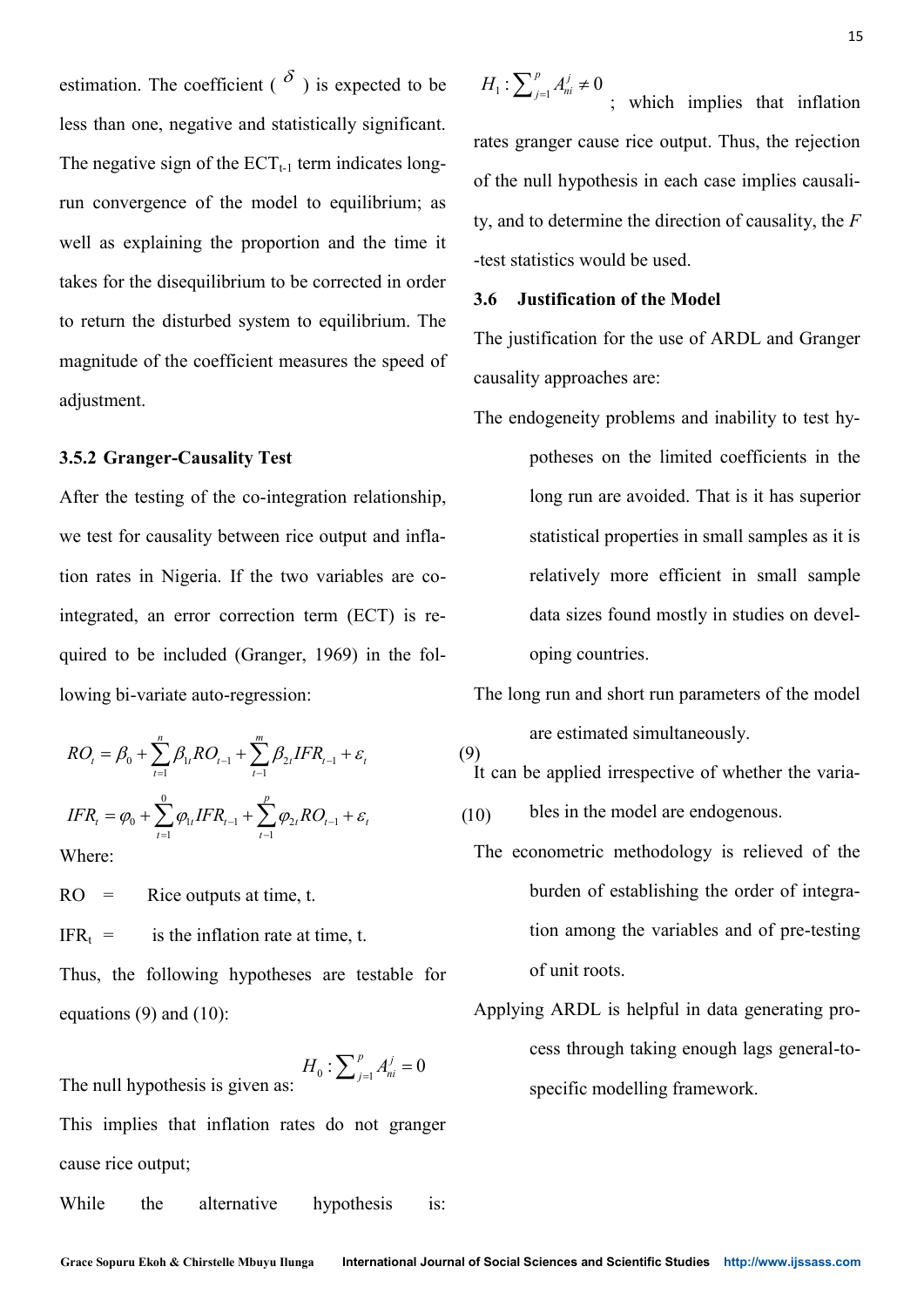estimation. The coefficient ( $\delta$ ) is expected to be less than one, negative and statistically significant. The negative sign of the  $ECT_{t-1}$  term indicates longrun convergence of the model to equilibrium; as well as explaining the proportion and the time it takes for the disequilibrium to be corrected in order to return the disturbed system to equilibrium. The magnitude of the coefficient measures the speed of adjustment. **Example 1.1** is expected to be  $H_1: \sum_{j=1}^n A_{ij}^T \neq 0$ ; which implies that inflation<br> **RO RO FIGURE 1.1** is generate the summary and statistically significant.<br>
This generation convergence of the ECT<sub>+</sub>1 term indicate ation. The coefficient (δ) is expected to be  $H_1: \sum_{i=1}^n A_i^i \neq 0$ , which implies that inflation<br>han one, regative and statistically significant<br>reasting the mean exercise of the RCT, term infinites long<br>to the mean **ISSUAL EVALUATE:** The coefficient  $\binom{N}{i}$  is expected to be  $H_1: \sum_{i=1}^i A_i^i = 0$ ; which implies that influion<br>
the regative sign of the IEUT<sub>1</sub>, term indicates long,<br>
IFR RO expective sign of the control state of th after, The conclusion ( $\delta$ ) is expected to be  $H_1: \sum_{i=1}^n A_i^i \neq 0$ ; which imptites that influition<br>an one, regarive and statistically significant.<br>
mates grouper cause rice couple. Thus, the regarding<br>
mates are ea

# **3.5.2 Granger-Causality Test**

After the testing of the co-integration relationship, we test for causality between rice output and inflation rates in Nigeria. If the two variables are cointegrated, an error correction term (ECT) is required to be included (Granger, 1969) in the following bi-variate auto-regression: explaining the proportion and the tim<br>the disequilibrium to be corrected in or<br>the disturbed system to equilibrium.<br>le of the coefficient measures the speed<br>nt.<br>anger-Causality Test<br>testing of the co-integration relations disequilibrium to be corre<br>disturbed system to equi<br>the coefficient measures<br>**r-Causality Test**<br>ing of the co-integration<br>usality between rice outr<br>Nigeria. If the two variation<br>included (Granger, 1969<br>iate auto-regressio aining the proportion and the<br>disequilibrium to be corrected<br>disturbed system to equilibri<br>f the coefficient measures the<br>per-Causality Test<br>ting of the co-integration rela<br>ausality between rice output a<br>Nigeria. If the t as explaining the proportion and the tin<br>
s for the disequilibrium to be corrected in c<br>
tturn the disturbed system to equilibrium.<br>
nitude of the coefficient measures the spee<br>
stment.<br>
2 Granger-Causality Test<br>
r the te disequilibrium to b:<br>
disturbed system t<br>
f the coefficient me<br>
ger-Causality Test<br>
ting of the co-integ<br>
ausality between ric<br>
Migeria. If the two<br>
included (Granger<br>
riate auto-regression<br>
riate auto-regression<br>  $\sum_{t=1$ the disturbed system to equilibrium.<br>
c of the coefficient measures the speed<br>
at.<br>
anger-Causality Test<br>
testing of the co-integration relations<br>
or causality between rice output and in<br>
in Nigeria. If the two variables disturbed system to equil<br>the coefficient measures the<br>coefficient measures that<br>is ality between rice output<br>vigeria. If the two varial<br>error correction term (lincluded (Granger, 1969)<br>ate auto-regression:<br> $\sum_{i=1}^{m} \beta_{$ *turn* the disturbed system to be corrected in c<br> *turn* the disturbed system to equilibrium.<br> *titude* of the coefficient measures the spee<br> *tment.*<br> **Cranger-Causality Test**<br> *r* the testing of the co-integration relat disturbed system to<br>
f the coefficient mea<br>
er-Causality Test<br>
ting of the co-integr<br>
ausality between rice<br>
Nigeria. If the two<br>
m error correction t<br>
included (Granger,<br>
riate auto-regression<br>  $\sum_{i=1}^{n} \beta_{1i} RO_{t-1} + \sum$ 

$$
RO_{t} = \beta_{0} + \sum_{t=1}^{n} \beta_{1t} RO_{t-1} + \sum_{t=1}^{m} \beta_{2t} IFR_{t-1} + \varepsilon_{t}
$$
  

$$
IFR_{t} = \varphi_{0} + \sum_{t=1}^{0} \varphi_{1t} IFR_{t-1} + \sum_{t=1}^{p} \varphi_{2t} RO_{t-1} + \varepsilon_{t}
$$

Where:

 $RO =$  Rice outputs at time, t.  $IFR_t$  = is the inflation rate at time, t. Thus, the following hypotheses are testable for equations (9) and (10):  $\epsilon_{-1} + \epsilon_t$  (10) bles i<br>
The econom<br>
burds<br>
me, t. tion<br>
are testable for of un<br>
Applying Al<br>  $\sum_{j=1}^p A_{ni}^j = 0$  cess<br>
do not granger  $RO_{i-1} + \varepsilon_i$  (10) bles<br>
The econor<br>
t. burd<br>
time, t. tion<br>
s are testable for of university of the Applying A<br>  $H_0: \sum_{j=1}^p A_{ni}^j = 0$  cess<br>
s do not granger

$$
H_0: \sum\nolimits_{j=1}^p A_{ni}^j = 0
$$

The null hypothesis is given as:

This implies that inflation rates do not granger cause rice output;

While the alternative hypothesis is:

 $j=1$   $\lambda$ **<sup>n</sup>i**  $\tau$ **0**  $\sum_{j=1}^{p} A_{ni}^{j} \neq 0$ 

 $\sum_{j=1}^{1} \sum_{n=1}^{1}$  + 0<br>; which implies that inflation rates granger cause rice output. Thus, the rejection of the null hypothesis in each case implies causality, and to determine the direction of causality, the *F* -test statistics would be used.  $\sum_{j=1}^{p} A_{ni}^{j} \neq 0$ ; which implies<br>s granger cause rice output. The  $H_1: \sum_{j=1}^p A_{ni}^j \neq 0$ ; which implies<br>ates granger cause rice output. The

# **3.6 Justification of the Model**

The justification for the use of ARDL and Granger causality approaches are:

- The endogeneity problems and inability to test hypotheses on the limited coefficients in the long run are avoided. That is it has superior statistical properties in small samples as it is relatively more efficient in small sample data sizes found mostly in studies on developing countries.
- The long run and short run parameters of the model are estimated simultaneously.

It can be applied irrespective of whether the varia-

- bles in the model are endogenous. (10)
- The econometric methodology is relieved of the burden of establishing the order of integration among the variables and of pre-testing of unit roots.
- Applying ARDL is helpful in data generating process through taking enough lags general-tospecific modelling framework.  $\sum_{j=1}^{p} A_{ni}^{j} = 0$

(9)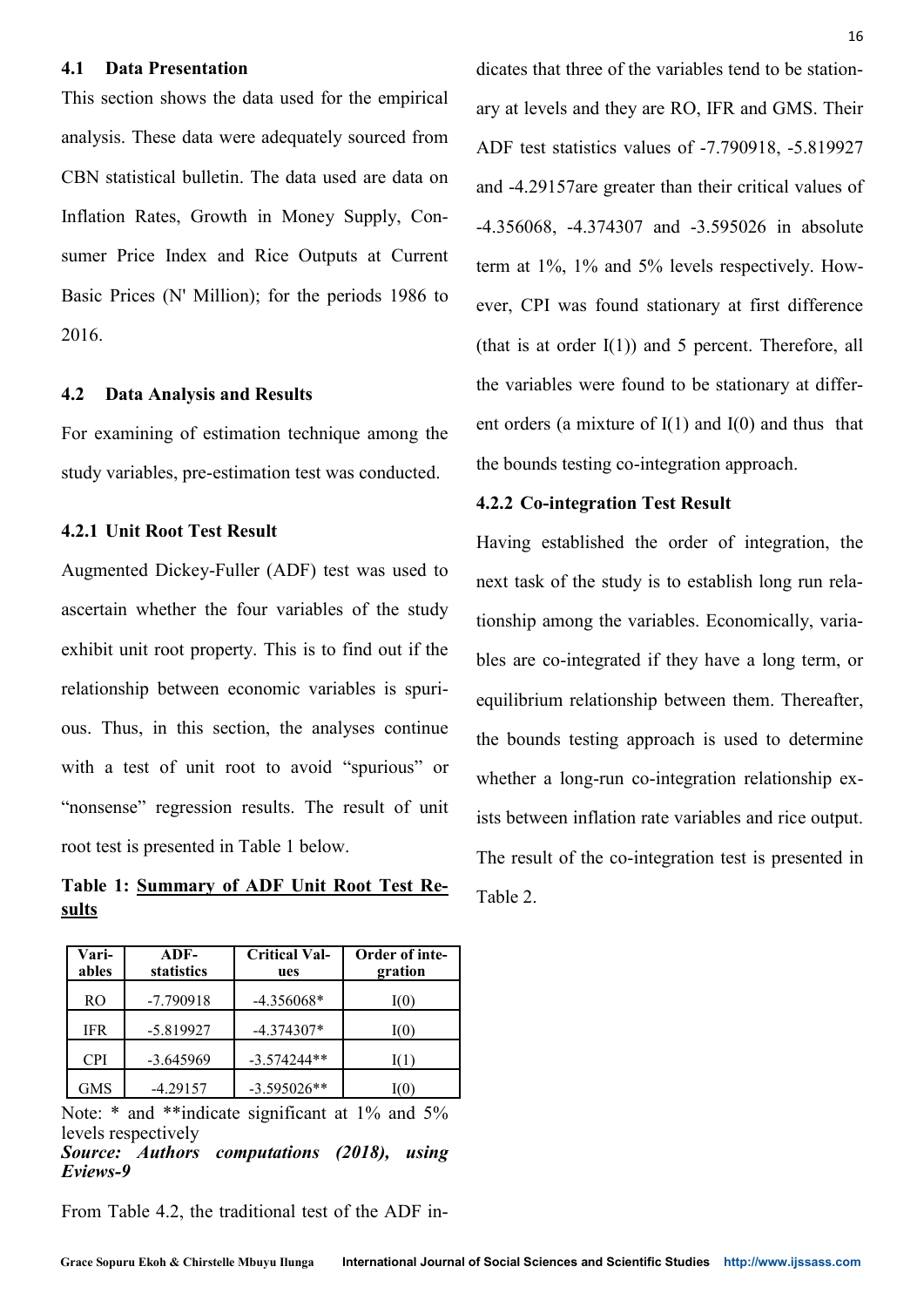#### **4.1 Data Presentation**

This section shows the data used for the empirical analysis. These data were adequately sourced from CBN statistical bulletin. The data used are data on Inflation Rates, Growth in Money Supply, Consumer Price Index and Rice Outputs at Current Basic Prices (N' Million); for the periods 1986 to 2016.

#### **4.2 Data Analysis and Results**

For examining of estimation technique among the study variables, pre-estimation test was conducted.

# **4.2.1 Unit Root Test Result**

Augmented Dickey-Fuller (ADF) test was used to ascertain whether the four variables of the study exhibit unit root property. This is to find out if the relationship between economic variables is spurious. Thus, in this section, the analyses continue with a test of unit root to avoid "spurious" or "nonsense" regression results. The result of unit root test is presented in Table 1 below.

**Table 1: Summary of ADF Unit Root Test Results**

| Vari-<br>ables | $ADF-$<br>statistics | <b>Critical Val-</b><br>ues | Order of inte-<br>gration |
|----------------|----------------------|-----------------------------|---------------------------|
| R <sub>O</sub> | $-7.790918$          | $-4.356068*$                | I(0)                      |
| <b>IFR</b>     | $-5.819927$          | $-4.374307*$                | I(0)                      |
| <b>CPI</b>     | $-3.645969$          | $-3.574244**$               | I(1)                      |
| <b>GMS</b>     | $-4.29157$           | $-3.595026**$               |                           |

Note: \* and \*\*indicate significant at 1% and 5% levels respectively

From Table 4.2, the traditional test of the ADF in-

dicates that three of the variables tend to be stationary at levels and they are RO, IFR and GMS. Their ADF test statistics values of -7.790918, -5.819927 and -4.29157are greater than their critical values of -4.356068, -4.374307 and -3.595026 in absolute term at 1%, 1% and 5% levels respectively. However, CPI was found stationary at first difference (that is at order  $I(1)$ ) and 5 percent. Therefore, all the variables were found to be stationary at different orders (a mixture of  $I(1)$  and  $I(0)$  and thus that the bounds testing co-integration approach.

#### **4.2.2 Co-integration Test Result**

Having established the order of integration, the next task of the study is to establish long run relationship among the variables. Economically, variables are co-integrated if they have a long term, or equilibrium relationship between them. Thereafter, the bounds testing approach is used to determine whether a long-run co-integration relationship exists between inflation rate variables and rice output. The result of the co-integration test is presented in Table 2.

*Source: Authors computations (2018), using Eviews-9*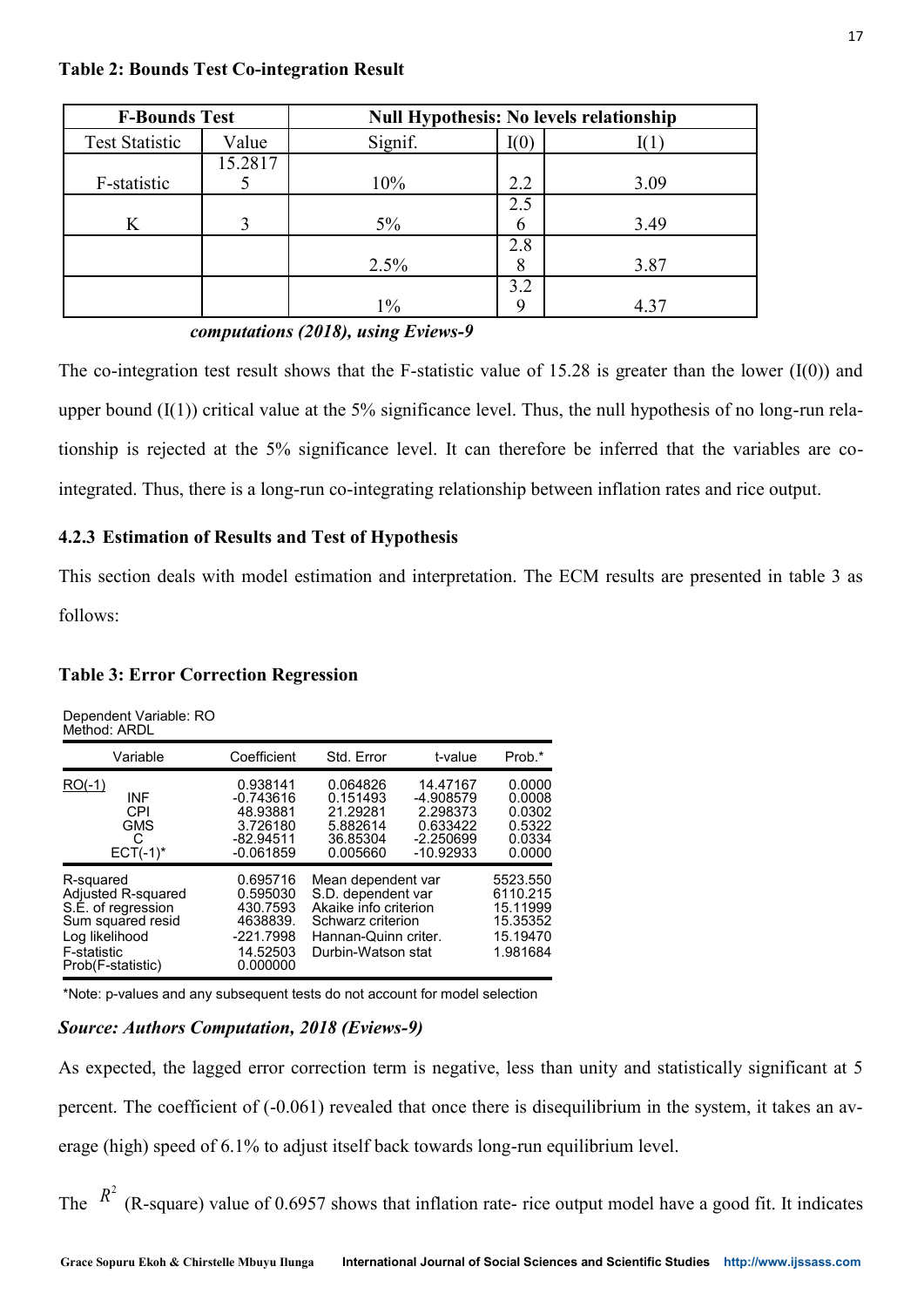#### **Table 2: Bounds Test Co-integration Result**

| <b>F-Bounds Test</b>  |         | <b>Null Hypothesis: No levels relationship</b> |          |      |  |
|-----------------------|---------|------------------------------------------------|----------|------|--|
| <b>Test Statistic</b> | Value   | Signif.                                        | I(0)     |      |  |
| F-statistic           | 15.2817 | 10%                                            | 2.2      | 3.09 |  |
| K                     |         | $5\%$                                          | 2.5<br>6 | 3.49 |  |
|                       |         | 2.5%                                           | 2.8<br>8 | 3.87 |  |
|                       |         | $1\%$                                          | 3.2<br>Q | 4.37 |  |

*Source: Authors computations (2018), using Eviews-9*

The co-integration test result shows that the F-statistic value of 15.28 is greater than the lower  $(I(0))$  and upper bound  $(I(1))$  critical value at the 5% significance level. Thus, the null hypothesis of no long-run relationship is rejected at the 5% significance level. It can therefore be inferred that the variables are cointegrated. Thus, there is a long-run co-integrating relationship between inflation rates and rice output.

# **4.2.3 Estimation of Results and Test of Hypothesis**

This section deals with model estimation and interpretation. The ECM results are presented in table 3 as follows:

# **Table 3: Error Correction Regression**

Dependent Variable: RO Method: ARDL

| Variable                                                                                                                         | Coefficient                                                                         | Std. Error                                                                                                                           | t-value                                                                     | Prob.*                                                               |
|----------------------------------------------------------------------------------------------------------------------------------|-------------------------------------------------------------------------------------|--------------------------------------------------------------------------------------------------------------------------------------|-----------------------------------------------------------------------------|----------------------------------------------------------------------|
| $RO(-1)$<br>INF<br>CPI<br><b>GMS</b><br>C<br>$ECT(-1)*$                                                                          | 0.938141<br>$-0.743616$<br>48.93881<br>3.726180<br>$-82.94511$<br>$-0.061859$       | 0.064826<br>0.151493<br>21.29281<br>5.882614<br>36.85304<br>0.005660                                                                 | 14.47167<br>-4.908579<br>2.298373<br>0.633422<br>$-2.250699$<br>$-10.92933$ | 0.0000<br>0.0008<br>0.0302<br>0.5322<br>0.0334<br>0.0000             |
| R-squared<br>Adjusted R-squared<br>S.E. of regression<br>Sum squared resid<br>Log likelihood<br>F-statistic<br>Prob(F-statistic) | 0.695716<br>0.595030<br>430.7593<br>4638839.<br>$-221.7998$<br>14.52503<br>0.000000 | Mean dependent var<br>S.D. dependent var<br>Akaike info criterion<br>Schwarz criterion<br>Hannan-Quinn criter.<br>Durbin-Watson stat |                                                                             | 5523.550<br>6110.215<br>15.11999<br>15.35352<br>15.19470<br>1.981684 |

\*Note: p-values and any subsequent tests do not account for model selection

# *Source: Authors Computation, 2018 (Eviews-9)*

As expected, the lagged error correction term is negative, less than unity and statistically significant at 5 percent. The coefficient of (-0.061) revealed that once there is disequilibrium in the system, it takes an average (high) speed of 6.1% to adjust itself back towards long-run equilibrium level.

The  $R^2$  (R-square) value of 0.6957 shows that inflation rate- rice output model have a good fit. It indicates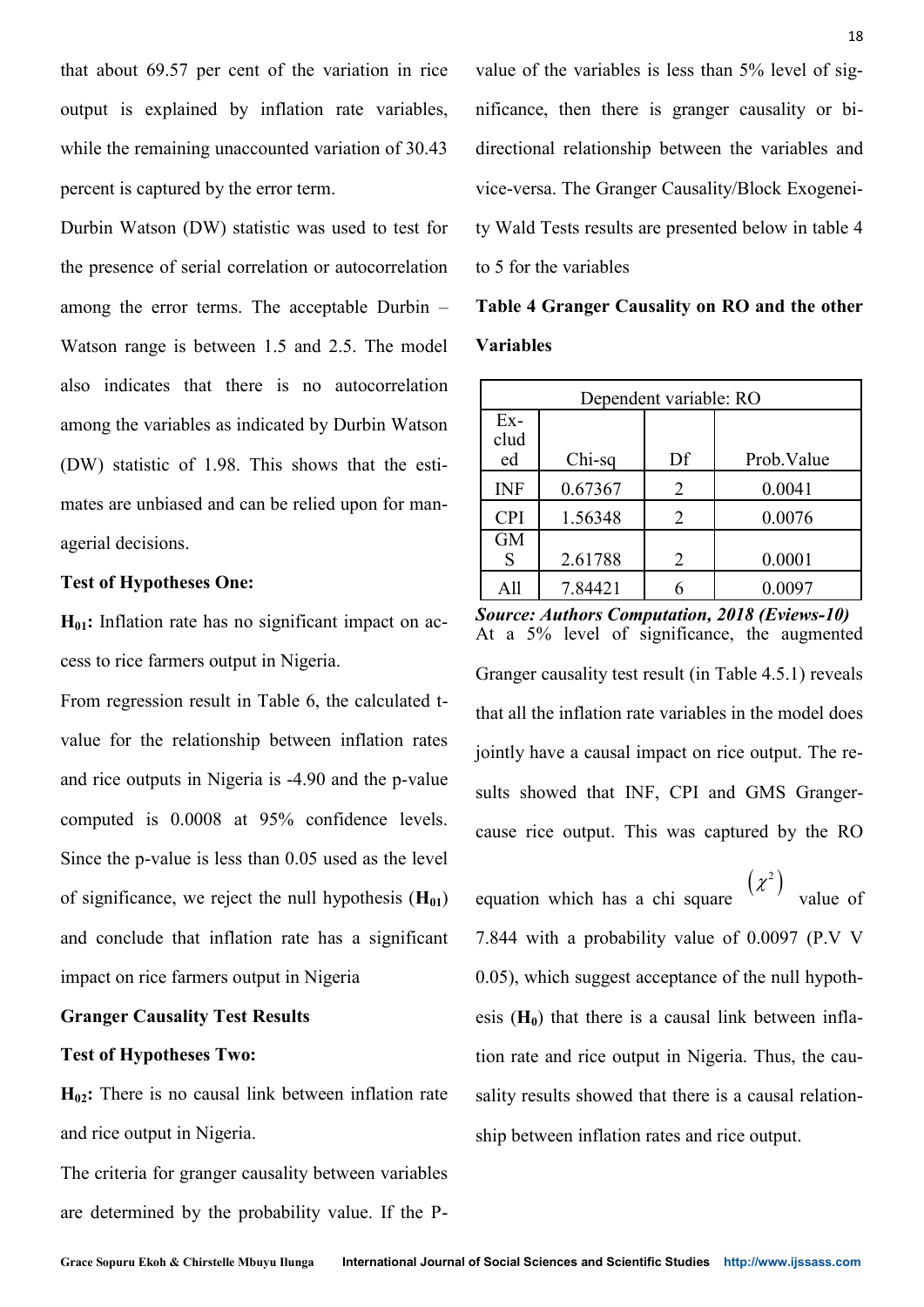that about 69.57 per cent of the variation in rice output is explained by inflation rate variables, while the remaining unaccounted variation of 30.43 percent is captured by the error term.

Durbin Watson (DW) statistic was used to test for the presence of serial correlation or autocorrelation among the error terms. The acceptable Durbin – Watson range is between 1.5 and 2.5. The model also indicates that there is no autocorrelation among the variables as indicated by Durbin Watson (DW) statistic of 1.98. This shows that the estimates are unbiased and can be relied upon for managerial decisions.

#### **Test of Hypotheses One:**

**H01:** Inflation rate has no significant impact on access to rice farmers output in Nigeria.

From regression result in Table 6, the calculated tvalue for the relationship between inflation rates and rice outputs in Nigeria is -4.90 and the p-value computed is 0.0008 at 95% confidence levels. Since the p-value is less than 0.05 used as the level of significance, we reject the null hypothesis (**H01**) and conclude that inflation rate has a significant impact on rice farmers output in Nigeria

# **Granger Causality Test Results**

#### **Test of Hypotheses Two:**

**H02:** There is no causal link between inflation rate and rice output in Nigeria.

The criteria for granger causality between variables are determined by the probability value. If the P- value of the variables is less than 5% level of significance, then there is granger causality or bidirectional relationship between the variables and vice-versa. The Granger Causality/Block Exogeneity Wald Tests results are presented below in table 4 to 5 for the variables

**Table 4 Granger Causality on RO and the other Variables**

| Dependent variable: RO |         |                             |             |  |
|------------------------|---------|-----------------------------|-------------|--|
| $Ex-$<br>clud<br>ed    | Chi-sq  | Df                          | Prob. Value |  |
| <b>INF</b>             | 0.67367 | 2                           | 0.0041      |  |
| <b>CPI</b>             | 1.56348 | $\mathcal{D}_{\mathcal{L}}$ | 0.0076      |  |
| <b>GM</b><br>S         | 2.61788 | 2                           | 0.0001      |  |
| All                    | 7.84421 |                             | 0.0097      |  |

*Source: Authors Computation, 2018 (Eviews-10)* At a 5% level of significance, the augmented Granger causality test result (in Table 4.5.1) reveals that all the inflation rate variables in the model does jointly have a causal impact on rice output. The results showed that INF, CPI and GMS Grangercause rice output. This was captured by the RO

equation which has a chi square  $\begin{pmatrix} \lambda & \lambda \\ \lambda & \lambda \end{pmatrix}$  value of 7.844 with a probability value of 0.0097 (P.V V 0.05), which suggest acceptance of the null hypothesis  $(H_0)$  that there is a causal link between inflation rate and rice output in Nigeria. Thus, the causality results showed that there is a causal relationship between inflation rates and rice output.  $(x^2)$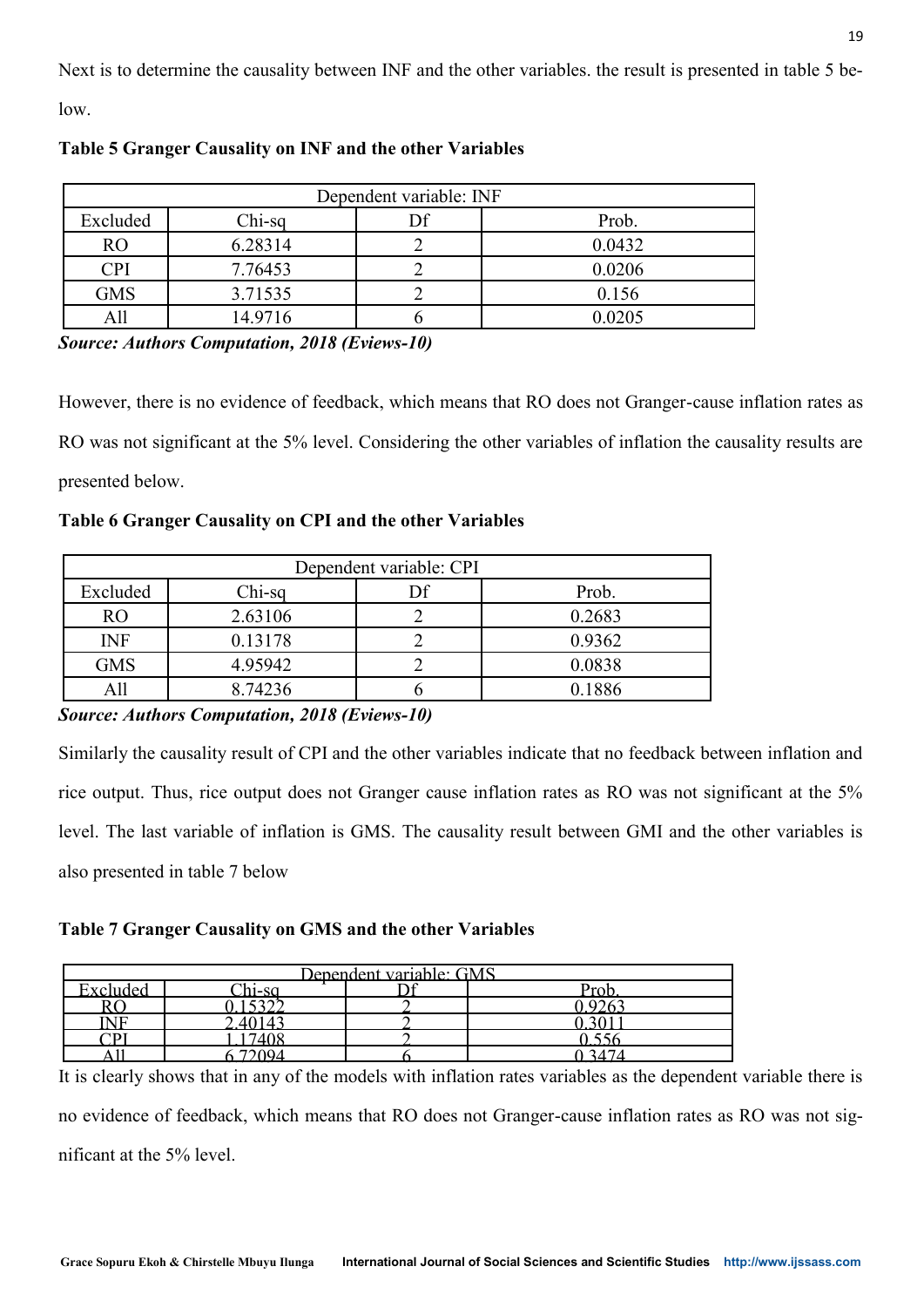Next is to determine the causality between INF and the other variables. the result is presented in table 5 be-

low.

| Dependent variable: INF |          |  |        |  |
|-------------------------|----------|--|--------|--|
| Excluded                | $Chi-sq$ |  | Prob.  |  |
| <b>RO</b>               | 6.28314  |  | 0.0432 |  |
| <b>CPI</b>              | 7.76453  |  | 0.0206 |  |
| <b>GMS</b>              | 3.71535  |  | 0.156  |  |
| 411                     | 14.9716  |  | 0.0205 |  |

**Table 5 Granger Causality on INF and the other Variables**

*Source: Authors Computation, 2018 (Eviews-10)*

However, there is no evidence of feedback, which means that RO does not Granger-cause inflation rates as RO was not significant at the 5% level. Considering the other variables of inflation the causality results are presented below.

**Table 6 Granger Causality on CPI and the other Variables**

| Dependent variable: CPI |          |  |        |  |
|-------------------------|----------|--|--------|--|
| Excluded                | $Chi-sq$ |  | Prob.  |  |
| <b>RO</b>               | 2.63106  |  | 0.2683 |  |
| <b>INF</b>              | 0.13178  |  | 0.9362 |  |
| <b>GMS</b>              | 4.95942  |  | 0.0838 |  |
| A11                     | 8.74236  |  | 0.1886 |  |

*Source: Authors Computation, 2018 (Eviews-10)*

Similarly the causality result of CPI and the other variables indicate that no feedback between inflation and rice output. Thus, rice output does not Granger cause inflation rates as RO was not significant at the 5% level. The last variable of inflation is GMS. The causality result between GMI and the other variables is also presented in table 7 below

**Table 7 Granger Causality on GMS and the other Variables**

|          |                         | Dependent variable: GMS |                  |
|----------|-------------------------|-------------------------|------------------|
| Excluded | $\gamma_{\text{hi-sa}}$ |                         | $D_{\mathbf{r}}$ |
|          | $\sim$ 0.0              |                         |                  |
|          |                         |                         |                  |
|          |                         |                         |                  |
|          |                         |                         |                  |

It is clearly shows that in any of the models with inflation rates variables as the dependent variable there is no evidence of feedback, which means that RO does not Granger-cause inflation rates as RO was not significant at the 5% level.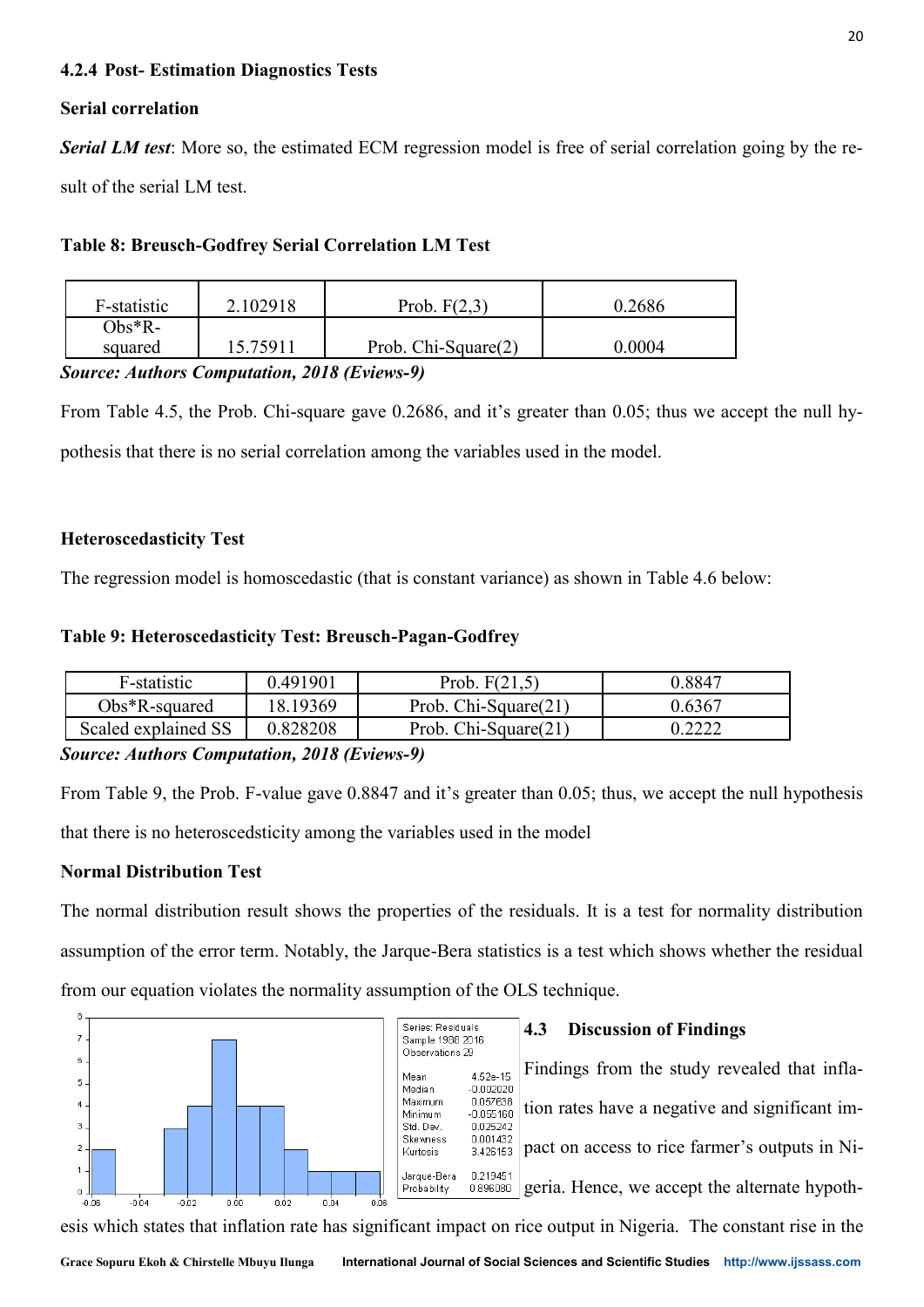# **4.2.4 Post- Estimation Diagnostics Tests**

# **Serial correlation**

*Serial LM test*: More so, the estimated ECM regression model is free of serial correlation going by the result of the serial LM test.

# **Table 8: Breusch-Godfrey Serial Correlation LM Test**

| F-statistic | 2.102918 | Prob. $F(2,3)$      | 0.2686 |
|-------------|----------|---------------------|--------|
| $Obs^*R$ -  |          |                     |        |
| squared     | 15 75911 | Prob. Chi-Square(2) | 0.0004 |

*Source: Authors Computation, 2018 (Eviews-9)*

From Table 4.5, the Prob. Chi-square gave 0.2686, and it's greater than 0.05; thus we accept the null hypothesis that there is no serial correlation among the variables used in the model.

# **Heteroscedasticity Test**

The regression model is homoscedastic (that is constant variance) as shown in Table 4.6 below:

# **Table 9: Heteroscedasticity Test: Breusch-Pagan-Godfrey**

| F-statistic         | 0.491901 | Prob. $F(21,5)$         | 0.8847 |
|---------------------|----------|-------------------------|--------|
| $Obs*R$ -squared    | 18.19369 | Prob. Chi-Square $(21)$ | 0.6367 |
| Scaled explained SS | 0.828208 | Prob. Chi-Square(21)    | ררר ו  |

# *Source: Authors Computation, 2018 (Eviews-9)*

From Table 9, the Prob. F-value gave 0.8847 and it's greater than 0.05; thus, we accept the null hypothesis that there is no heteroscedsticity among the variables used in the model

# **Normal Distribution Test**

The normal distribution result shows the properties of the residuals. It is a test for normality distribution assumption of the error term. Notably, the Jarque-Bera statistics is a test which shows whether the residual from our equation violates the normality assumption of the OLS technique.



esis which states that inflation rate has significant impact on rice output in Nigeria. The constant rise in the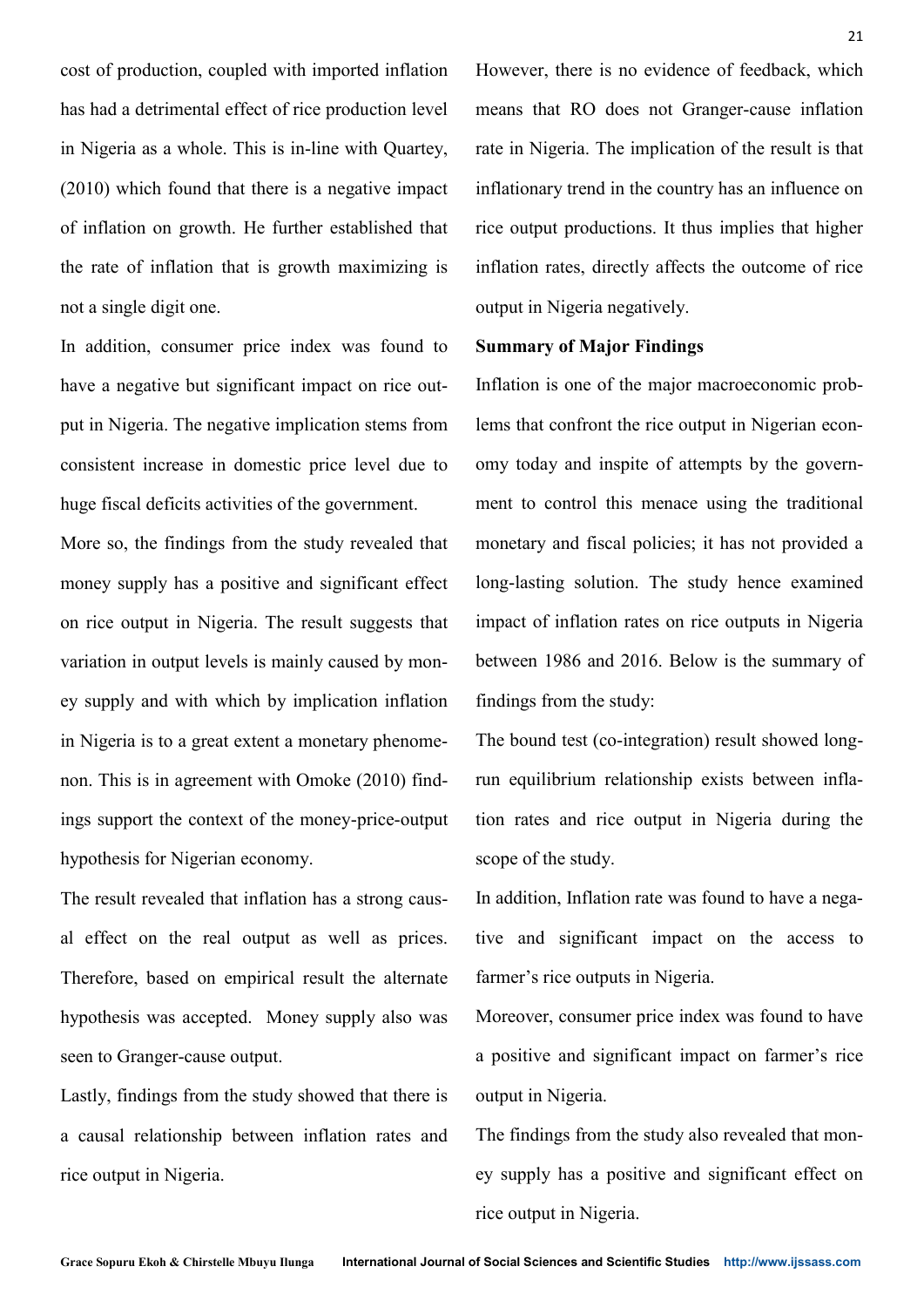cost of production, coupled with imported inflation has had a detrimental effect of rice production level in Nigeria as a whole. This is in-line with Quartey, (2010) which found that there is a negative impact of inflation on growth. He further established that the rate of inflation that is growth maximizing is not a single digit one.

In addition, consumer price index was found to have a negative but significant impact on rice output in Nigeria. The negative implication stems from consistent increase in domestic price level due to huge fiscal deficits activities of the government.

More so, the findings from the study revealed that money supply has a positive and significant effect on rice output in Nigeria. The result suggests that variation in output levels is mainly caused by money supply and with which by implication inflation in Nigeria is to a great extent a monetary phenomenon. This is in agreement with Omoke (2010) findings support the context of the money-price-output hypothesis for Nigerian economy.

The result revealed that inflation has a strong causal effect on the real output as well as prices. Therefore, based on empirical result the alternate hypothesis was accepted. Money supply also was seen to Granger-cause output.

Lastly, findings from the study showed that there is a causal relationship between inflation rates and rice output in Nigeria.

However, there is no evidence of feedback, which means that RO does not Granger-cause inflation rate in Nigeria. The implication of the result is that inflationary trend in the country has an influence on rice output productions. It thus implies that higher inflation rates, directly affects the outcome of rice output in Nigeria negatively.

## **Summary of Major Findings**

Inflation is one of the major macroeconomic problems that confront the rice output in Nigerian economy today and inspite of attempts by the government to control this menace using the traditional monetary and fiscal policies; it has not provided a long-lasting solution. The study hence examined impact of inflation rates on rice outputs in Nigeria between 1986 and 2016. Below is the summary of findings from the study:

The bound test (co-integration) result showed longrun equilibrium relationship exists between inflation rates and rice output in Nigeria during the scope of the study.

In addition, Inflation rate was found to have a negative and significant impact on the access to farmer's rice outputs in Nigeria.

Moreover, consumer price index was found to have a positive and significant impact on farmer's rice output in Nigeria.

The findings from the study also revealed that money supply has a positive and significant effect on rice output in Nigeria.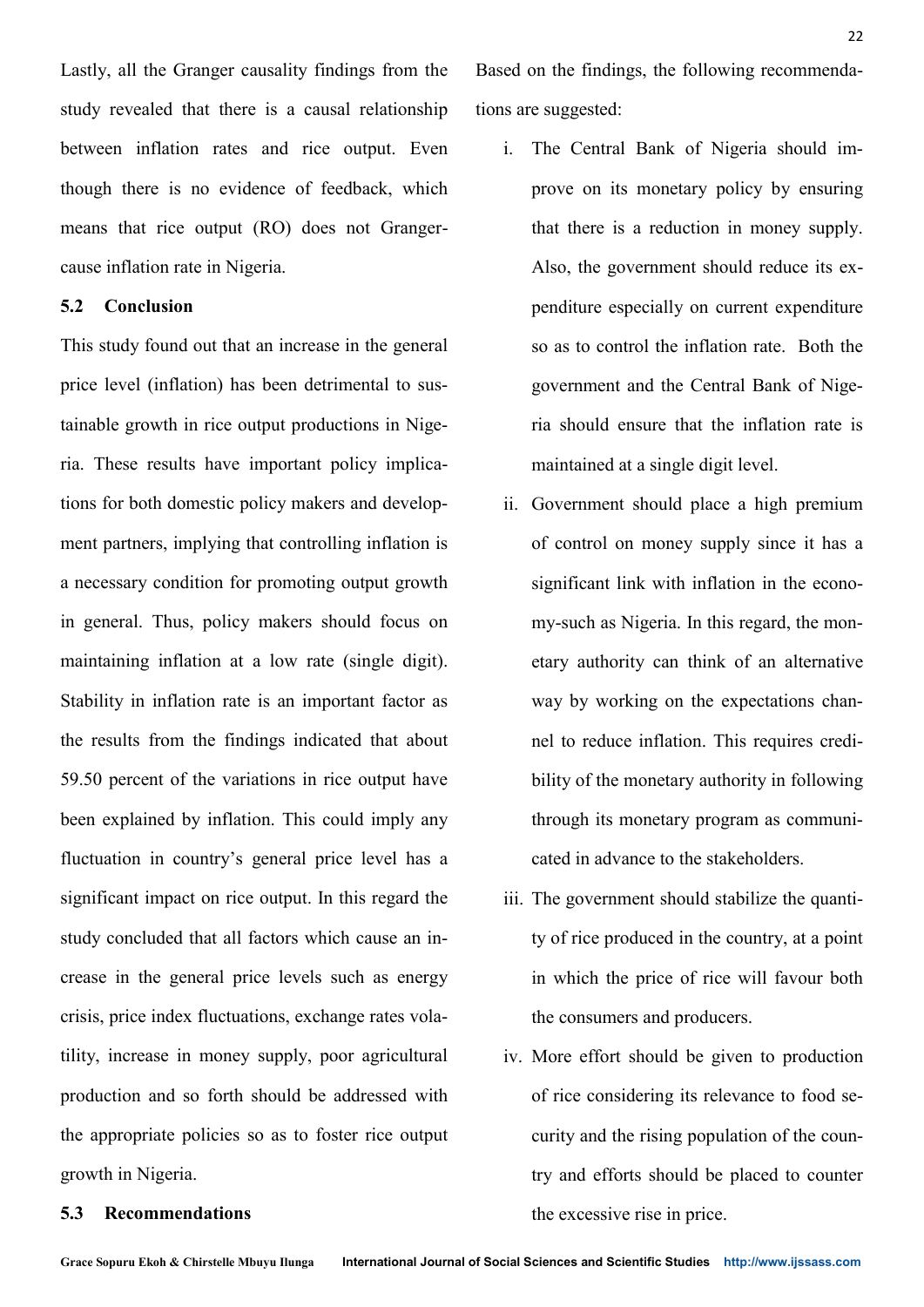Lastly, all the Granger causality findings from the study revealed that there is a causal relationship between inflation rates and rice output. Even though there is no evidence of feedback, which means that rice output (RO) does not Grangercause inflation rate in Nigeria.

# **5.2 Conclusion**

This study found out that an increase in the general price level (inflation) has been detrimental to sustainable growth in rice output productions in Nigeria. These results have important policy implications for both domestic policy makers and development partners, implying that controlling inflation is a necessary condition for promoting output growth in general. Thus, policy makers should focus on maintaining inflation at a low rate (single digit). Stability in inflation rate is an important factor as the results from the findings indicated that about 59.50 percent of the variations in rice output have been explained by inflation. This could imply any fluctuation in country's general price level has a significant impact on rice output. In this regard the study concluded that all factors which cause an increase in the general price levels such as energy crisis, price index fluctuations, exchange rates volatility, increase in money supply, poor agricultural production and so forth should be addressed with the appropriate policies so as to foster rice output growth in Nigeria.

Based on the findings, the following recommendations are suggested:

- i. The Central Bank of Nigeria should improve on its monetary policy by ensuring that there is a reduction in money supply. Also, the government should reduce its expenditure especially on current expenditure so as to control the inflation rate. Both the government and the Central Bank of Nigeria should ensure that the inflation rate is maintained at a single digit level.
- ii. Government should place a high premium of control on money supply since it has a significant link with inflation in the economy-such as Nigeria. In this regard, the monetary authority can think of an alternative way by working on the expectations channel to reduce inflation. This requires credibility of the monetary authority in following through its monetary program as communicated in advance to the stakeholders.
- iii. The government should stabilize the quantity of rice produced in the country, at a point in which the price of rice will favour both the consumers and producers.
- iv. More effort should be given to production of rice considering its relevance to food security and the rising population of the country and efforts should be placed to counter the excessive rise in price.

# **5.3 Recommendations**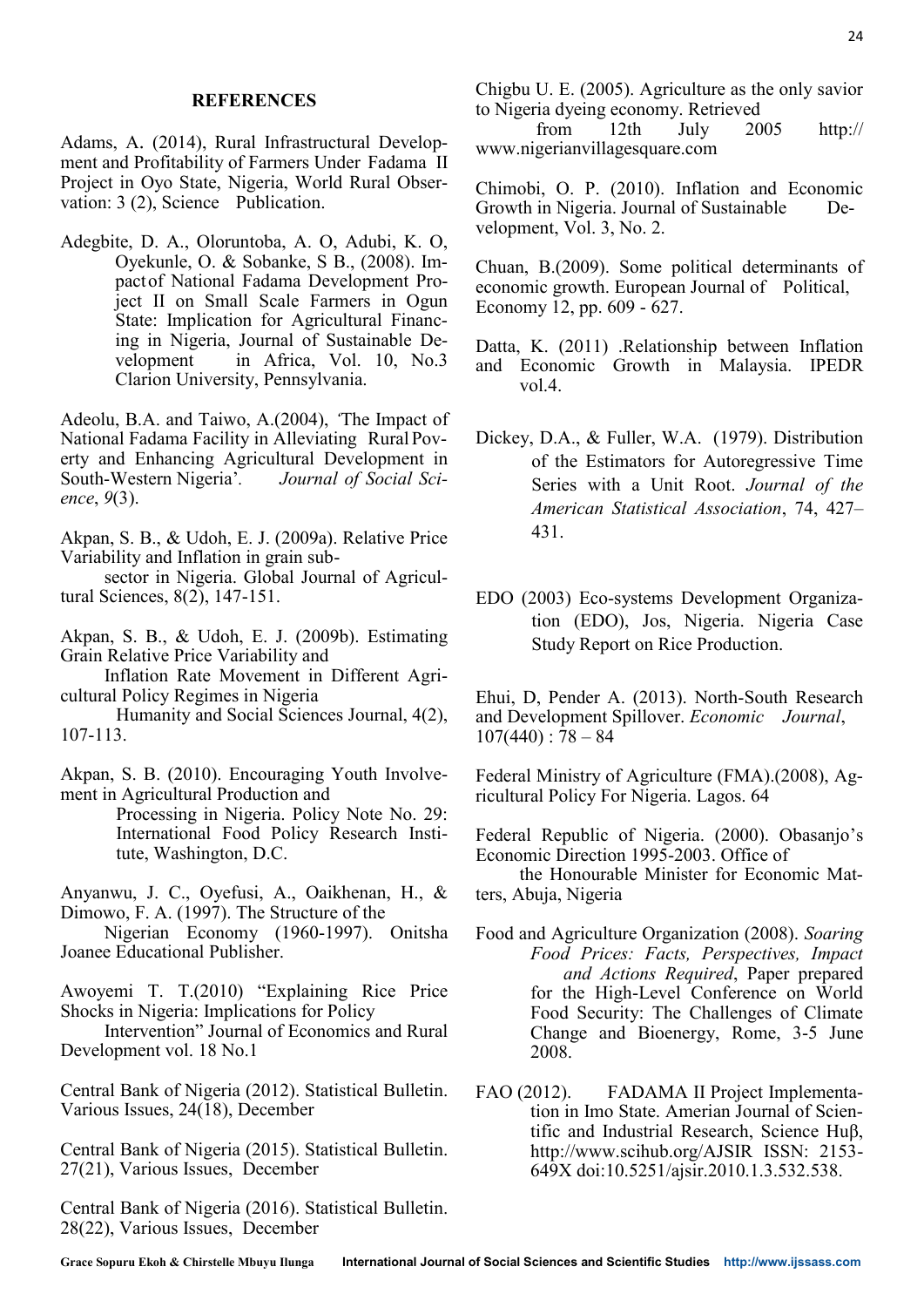#### **REFERENCES**

Adams, A. (2014), Rural Infrastructural Development and Profitability of Farmers Under Fadama II Project in Oyo State, Nigeria, World Rural Observation: 3 (2), Science Publication.

Adegbite, D. A., Oloruntoba, A. O, Adubi, K. O, Oyekunle, O. & Sobanke, S B., (2008). Impactof National Fadama Development Project II on Small Scale Farmers in Ogun State: Implication for Agricultural Financing in Nigeria, Journal of Sustainable Development in Africa, Vol. 10, No.3 Clarion University, Pennsylvania.

Adeolu, B.A. and Taiwo, A.(2004), *'*The Impact of National Fadama Facility in Alleviating Rural Poverty and Enhancing Agricultural Development in South-Western Nigeria'*. Journal of Social Science*, *9*(3).

Akpan, S. B., & Udoh, E. J. (2009a). Relative Price Variability and Inflation in grain sub-

sector in Nigeria. Global Journal of Agricultural Sciences, 8(2), 147-151.

Akpan, S. B., & Udoh, E. J. (2009b). Estimating Grain Relative Price Variability and

Inflation Rate Movement in Different Agricultural Policy Regimes in Nigeria

Humanity and Social Sciences Journal, 4(2), 107-113.

Akpan, S. B. (2010). Encouraging Youth Involvement in Agricultural Production and

> Processing in Nigeria. Policy Note No. 29: International Food Policy Research Institute, Washington, D.C.

Anyanwu, J. C., Oyefusi, A., Oaikhenan, H., & Dimowo, F. A. (1997). The Structure of the

Nigerian Economy (1960-1997). Onitsha Joanee Educational Publisher.

Awoyemi T. T.(2010) "Explaining Rice Price Shocks in Nigeria: Implications for Policy

Intervention" Journal of Economics and Rural Development vol. 18 No.1

Central Bank of Nigeria (2012). Statistical Bulletin. Various Issues, 24(18), December

Central Bank of Nigeria (2015). Statistical Bulletin. 27(21), Various Issues, December

Central Bank of Nigeria (2016). Statistical Bulletin. 28(22), Various Issues, December

Chigbu U. E. (2005). Agriculture as the only savior to Nigeria dyeing economy. Retrieved

from 12th July 2005 http:// www.nigerianvillagesquare.com

Chimobi, O. P. (2010). Inflation and Economic Growth in Nigeria. Journal of Sustainable Development, Vol. 3, No. 2.

Chuan, B.(2009). Some political determinants of economic growth. European Journal of Political, Economy 12, pp. 609 - 627.

Datta, K. (2011) .Relationship between Inflation and Economic Growth in Malaysia. IPEDR vol.4.

- Dickey, D.A., & Fuller, W.A. (1979). Distribution of the Estimators for Autoregressive Time Series with a Unit Root. *Journal of the American Statistical Association*, 74, 427– 431.
- EDO (2003) Eco-systems Development Organization (EDO), Jos, Nigeria. Nigeria Case Study Report on Rice Production.

Ehui, D, Pender A. (2013). North-South Research and Development Spillover. *Economic Journal*,  $107(440)$ : 78 – 84

Federal Ministry of Agriculture (FMA).(2008), Agricultural Policy For Nigeria. Lagos. 64

Federal Republic of Nigeria. (2000). Obasanjo's Economic Direction 1995-2003. Office of the Honourable Minister for Economic Matters, Abuja, Nigeria

- Food and Agriculture Organization (2008). *Soaring Food Prices: Facts, Perspectives, Impact and Actions Required*, Paper prepared for the High-Level Conference on World Food Security: The Challenges of Climate Change and Bioenergy, Rome, 3-5 June 2008.
- FAO (2012). FADAMA II Project Implementation in Imo State. Amerian Journal of Scientific and Industrial Research, Science Huβ, http://www.scihub.org/AJSIR ISSN: 2153- 649X doi:10.5251/ajsir.2010.1.3.532.538.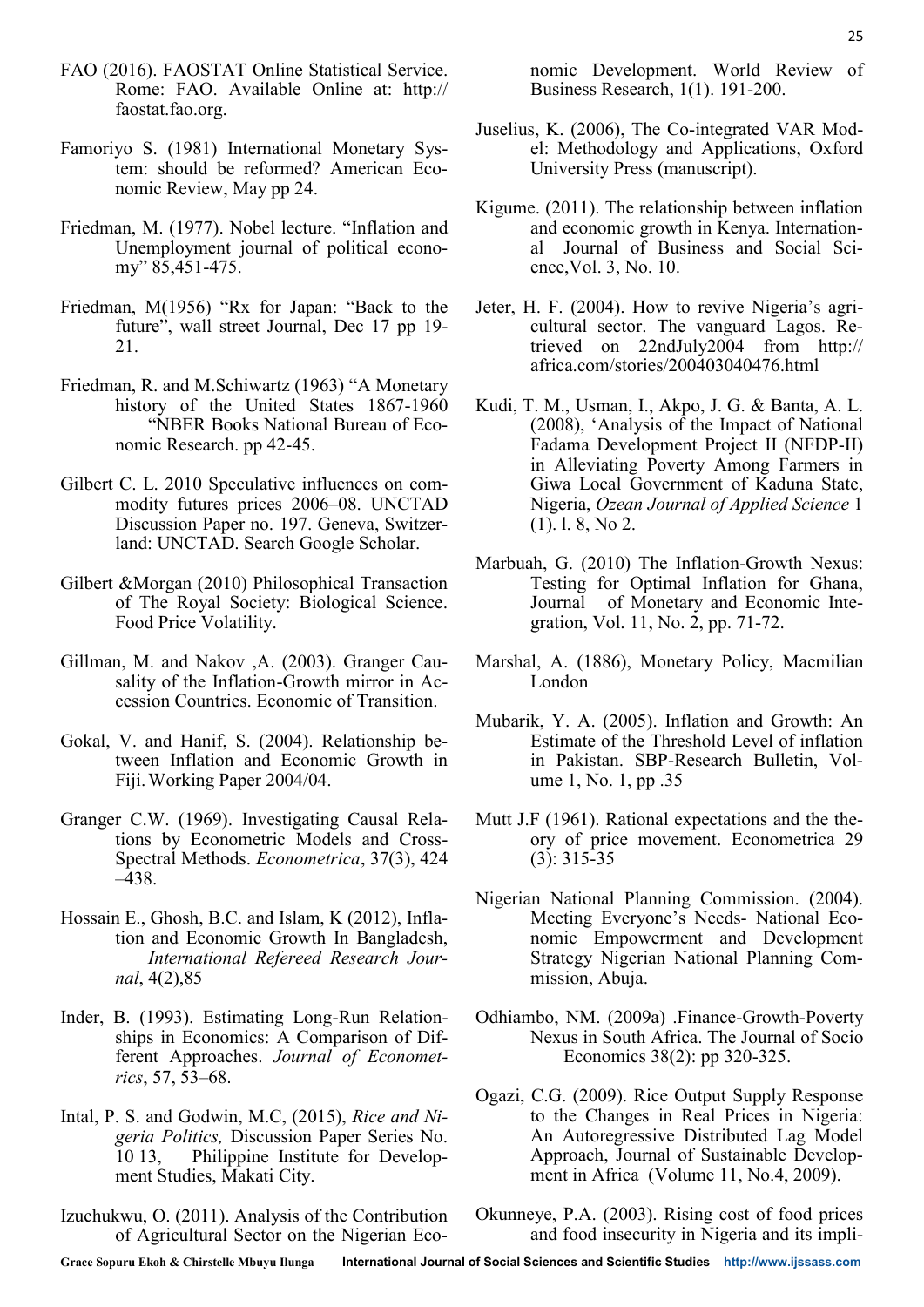- FAO (2016). FAOSTAT Online Statistical Service. Rome: FAO. Available Online at: http:// faostat.fao.org.
- Famoriyo S. (1981) International Monetary System: should be reformed? American Economic Review, May pp 24.
- Friedman, M. (1977). Nobel lecture. "Inflation and Unemployment journal of political economy" 85,451-475.
- Friedman, M(1956) "Rx for Japan: "Back to the future", wall street Journal, Dec 17 pp 19- 21.
- Friedman, R. and M.Schiwartz (1963) "A Monetary history of the United States 1867-1960 "NBER Books National Bureau of Economic Research. pp 42-45.
- Gilbert C. L. 2010 Speculative influences on commodity futures prices 2006–08. UNCTAD Discussion Paper no. 197. Geneva, Switzerland: UNCTAD. Search Google Scholar.
- Gilbert &Morgan (2010) Philosophical Transaction of The Royal Society: Biological Science. Food Price Volatility.
- Gillman, M. and Nakov ,A. (2003). Granger Causality of the Inflation-Growth mirror in Accession Countries. Economic of Transition.
- Gokal, V. and Hanif, S. (2004). Relationship between Inflation and Economic Growth in Fiji.Working Paper 2004/04.
- Granger C.W. (1969). Investigating Causal Relations by Econometric Models and Cross-Spectral Methods. *Econometrica*, 37(3), 424 –438.
- Hossain E., Ghosh, B.C. and Islam, K (2012), Inflation and Economic Growth In Bangladesh, *International Refereed Research Journal*, 4(2),85
- Inder, B. (1993). Estimating Long-Run Relationships in Economics: A Comparison of Different Approaches. *Journal of Econometrics*, 57, 53–68.
- Intal, P. S. and Godwin, M.C, (2015), *Rice and Nigeria Politics,* Discussion Paper Series No. 10 13, Philippine Institute for Development Studies, Makati City.
- Izuchukwu, O. (2011). Analysis of the Contribution of Agricultural Sector on the Nigerian Eco-
- Juselius, K. (2006), The Co-integrated VAR Model: Methodology and Applications, Oxford University Press (manuscript).
- Kigume. (2011). The relationship between inflation and economic growth in Kenya. International Journal of Business and Social Science,Vol. 3, No. 10.
- Jeter, H. F. (2004). How to revive Nigeria's agricultural sector. The vanguard Lagos. Retrieved on 22ndJuly2004 from http:// africa.com/stories/200403040476.html
- Kudi, T. M., Usman, I., Akpo, J. G. & Banta, A. L. (2008), 'Analysis of the Impact of National Fadama Development Project II (NFDP-II) in Alleviating Poverty Among Farmers in Giwa Local Government of Kaduna State, Nigeria, *Ozean Journal of Applied Science* 1 (1). l. 8, No 2.
- Marbuah, G. (2010) The Inflation-Growth Nexus: Testing for Optimal Inflation for Ghana, Journal of Monetary and Economic Integration, Vol. 11, No. 2, pp. 71-72.
- Marshal, A. (1886), Monetary Policy, Macmilian London
- Mubarik, Y. A. (2005). Inflation and Growth: An Estimate of the Threshold Level of inflation in Pakistan. SBP-Research Bulletin, Volume 1, No. 1, pp .35
- Mutt J.F (1961). Rational expectations and the theory of price movement. Econometrica 29 (3): 315-35
- Nigerian National Planning Commission. (2004). Meeting Everyone's Needs- National Economic Empowerment and Development Strategy Nigerian National Planning Commission, Abuja.
- Odhiambo, NM. (2009a) .Finance-Growth-Poverty Nexus in South Africa. The Journal of Socio Economics 38(2): pp 320-325.
- Ogazi, C.G. (2009). Rice Output Supply Response to the Changes in Real Prices in Nigeria: An Autoregressive Distributed Lag Model Approach, Journal of Sustainable Development in Africa (Volume 11, No.4, 2009).
- Okunneye, P.A. (2003). Rising cost of food prices and food insecurity in Nigeria and its impli-

**Grace Sopuru Ekoh & Chirstelle Mbuyu Ilunga International Journal of Social Sciences and Scientific Studies http://www.ijssass.com**